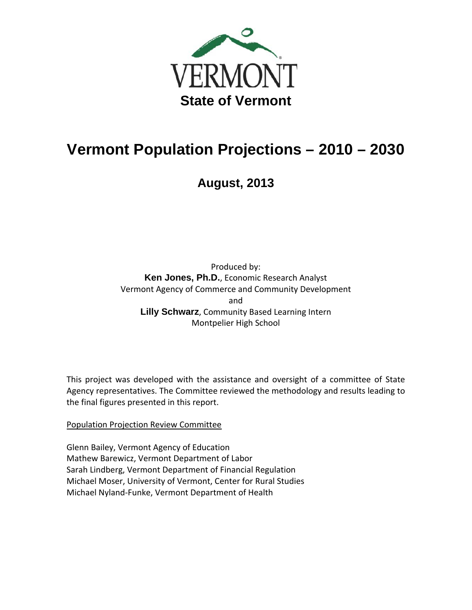

# **Vermont Population Projections – 2010 – 2030**

**August, 2013** 

Produced by: **Ken Jones, Ph.D.**, Economic Research Analyst Vermont Agency of Commerce and Community Development and **Lilly Schwarz**, Community Based Learning Intern Montpelier High School

This project was developed with the assistance and oversight of a committee of State Agency representatives. The Committee reviewed the methodology and results leading to the final figures presented in this report.

# Population Projection Review Committee

Glenn Bailey, Vermont Agency of Education Mathew Barewicz, Vermont Department of Labor Sarah Lindberg, Vermont Department of Financial Regulation Michael Moser, University of Vermont, Center for Rural Studies Michael Nyland‐Funke, Vermont Department of Health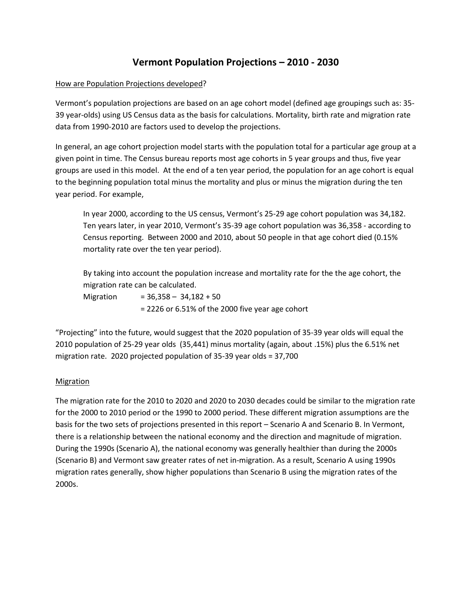# **Vermont Population Projections – 2010 - 2030**

#### How are Population Projections developed?

Vermont's population projections are based on an age cohort model (defined age groupings such as: 35- 39 year-olds) using US Census data as the basis for calculations. Mortality, birth rate and migration rate data from 1990-2010 are factors used to develop the projections.

In general, an age cohort projection model starts with the population total for a particular age group at a given point in time. The Census bureau reports most age cohorts in 5 year groups and thus, five year groups are used in this model. At the end of a ten year period, the population for an age cohort is equal to the beginning population total minus the mortality and plus or minus the migration during the ten year period. For example,

In year 2000, according to the US census, Vermont's 25-29 age cohort population was 34,182. Ten years later, in year 2010, Vermont's 35-39 age cohort population was 36,358 - according to Census reporting. Between 2000 and 2010, about 50 people in that age cohort died (0.15% mortality rate over the ten year period).

By taking into account the population increase and mortality rate for the the age cohort, the migration rate can be calculated.

Migration  $= 36,358 - 34,182 + 50$ = 2226 or 6.51% of the 2000 five year age cohort

"Projecting" into the future, would suggest that the 2020 population of 35-39 year olds will equal the 2010 population of 25-29 year olds (35,441) minus mortality (again, about .15%) plus the 6.51% net migration rate. 2020 projected population of 35-39 year olds = 37,700

#### **Migration**

The migration rate for the 2010 to 2020 and 2020 to 2030 decades could be similar to the migration rate for the 2000 to 2010 period or the 1990 to 2000 period. These different migration assumptions are the basis for the two sets of projections presented in this report – Scenario A and Scenario B. In Vermont, there is a relationship between the national economy and the direction and magnitude of migration. During the 1990s (Scenario A), the national economy was generally healthier than during the 2000s (Scenario B) and Vermont saw greater rates of net in-migration. As a result, Scenario A using 1990s migration rates generally, show higher populations than Scenario B using the migration rates of the 2000s.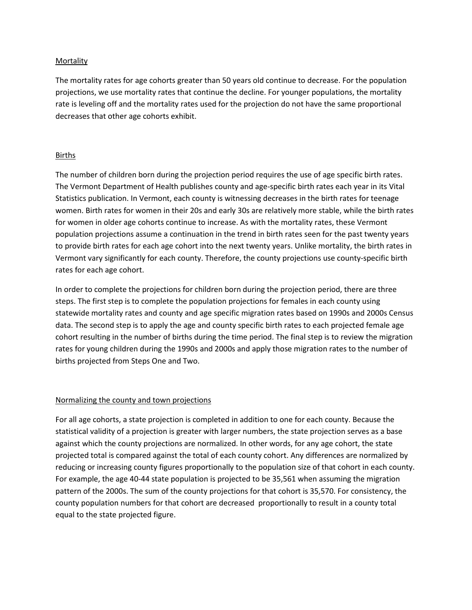#### Mortality

The mortality rates for age cohorts greater than 50 years old continue to decrease. For the population projections, we use mortality rates that continue the decline. For younger populations, the mortality rate is leveling off and the mortality rates used for the projection do not have the same proportional decreases that other age cohorts exhibit.

#### Births

The number of children born during the projection period requires the use of age specific birth rates. The Vermont Department of Health publishes county and age-specific birth rates each year in its Vital Statistics publication. In Vermont, each county is witnessing decreases in the birth rates for teenage women. Birth rates for women in their 20s and early 30s are relatively more stable, while the birth rates for women in older age cohorts continue to increase. As with the mortality rates, these Vermont population projections assume a continuation in the trend in birth rates seen for the past twenty years to provide birth rates for each age cohort into the next twenty years. Unlike mortality, the birth rates in Vermont vary significantly for each county. Therefore, the county projections use county-specific birth rates for each age cohort.

In order to complete the projections for children born during the projection period, there are three steps. The first step is to complete the population projections for females in each county using statewide mortality rates and county and age specific migration rates based on 1990s and 2000s Census data. The second step is to apply the age and county specific birth rates to each projected female age cohort resulting in the number of births during the time period. The final step is to review the migration rates for young children during the 1990s and 2000s and apply those migration rates to the number of births projected from Steps One and Two.

#### Normalizing the county and town projections

For all age cohorts, a state projection is completed in addition to one for each county. Because the statistical validity of a projection is greater with larger numbers, the state projection serves as a base against which the county projections are normalized. In other words, for any age cohort, the state projected total is compared against the total of each county cohort. Any differences are normalized by reducing or increasing county figures proportionally to the population size of that cohort in each county. For example, the age 40-44 state population is projected to be 35,561 when assuming the migration pattern of the 2000s. The sum of the county projections for that cohort is 35,570. For consistency, the county population numbers for that cohort are decreased proportionally to result in a county total equal to the state projected figure.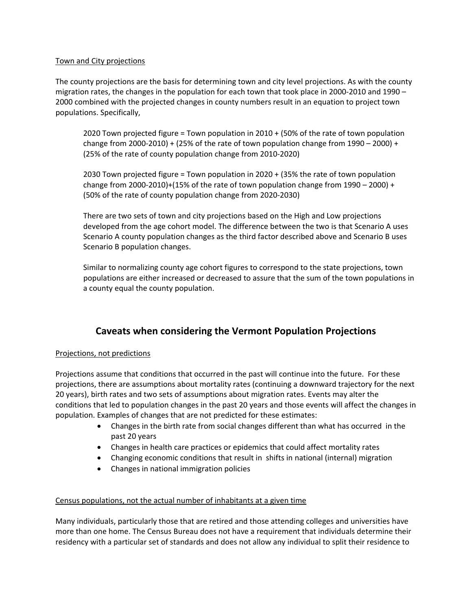#### Town and City projections

The county projections are the basis for determining town and city level projections. As with the county migration rates, the changes in the population for each town that took place in 2000-2010 and 1990 – 2000 combined with the projected changes in county numbers result in an equation to project town populations. Specifically,

2020 Town projected figure = Town population in 2010 + (50% of the rate of town population change from 2000-2010) + (25% of the rate of town population change from  $1990 - 2000$ ) + (25% of the rate of county population change from 2010‐2020)

2030 Town projected figure = Town population in 2020 + (35% the rate of town population change from 2000-2010)+(15% of the rate of town population change from 1990 – 2000) + (50% of the rate of county population change from 2020‐2030)

There are two sets of town and city projections based on the High and Low projections developed from the age cohort model. The difference between the two is that Scenario A uses Scenario A county population changes as the third factor described above and Scenario B uses Scenario B population changes.

Similar to normalizing county age cohort figures to correspond to the state projections, town populations are either increased or decreased to assure that the sum of the town populations in a county equal the county population.

# **Caveats when considering the Vermont Population Projections**

#### Projections, not predictions

Projections assume that conditions that occurred in the past will continue into the future. For these projections, there are assumptions about mortality rates (continuing a downward trajectory for the next 20 years), birth rates and two sets of assumptions about migration rates. Events may alter the conditions that led to population changes in the past 20 years and those events will affect the changes in population. Examples of changes that are not predicted for these estimates:

- Changes in the birth rate from social changes different than what has occurred in the past 20 years
- Changes in health care practices or epidemics that could affect mortality rates
- Changing economic conditions that result in shifts in national (internal) migration
- Changes in national immigration policies

#### Census populations, not the actual number of inhabitants at a given time

Many individuals, particularly those that are retired and those attending colleges and universities have more than one home. The Census Bureau does not have a requirement that individuals determine their residency with a particular set of standards and does not allow any individual to split their residence to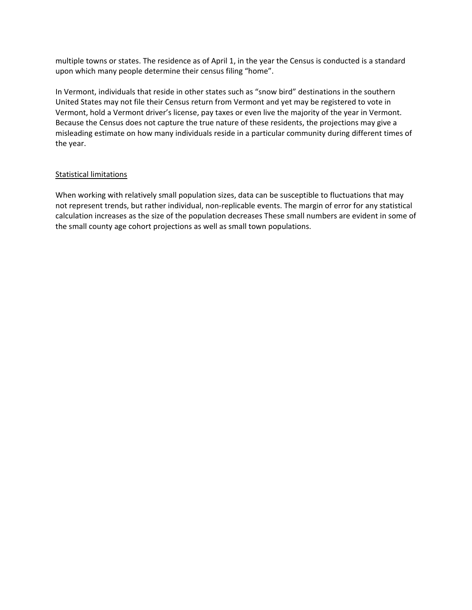multiple towns or states. The residence as of April 1, in the year the Census is conducted is a standard upon which many people determine their census filing "home".

In Vermont, individuals that reside in other states such as "snow bird" destinations in the southern United States may not file their Census return from Vermont and yet may be registered to vote in Vermont, hold a Vermont driver's license, pay taxes or even live the majority of the year in Vermont. Because the Census does not capture the true nature of these residents, the projections may give a misleading estimate on how many individuals reside in a particular community during different times of the year.

#### Statistical limitations

When working with relatively small population sizes, data can be susceptible to fluctuations that may not represent trends, but rather individual, non‐replicable events. The margin of error for any statistical calculation increases as the size of the population decreases These small numbers are evident in some of the small county age cohort projections as well as small town populations.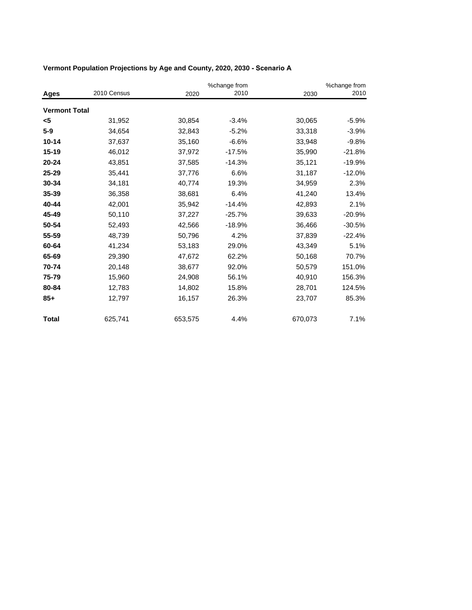|                      |             |         | %change from |         | %change from |
|----------------------|-------------|---------|--------------|---------|--------------|
| Ages                 | 2010 Census | 2020    | 2010         | 2030    | 2010         |
| <b>Vermont Total</b> |             |         |              |         |              |
| <5                   | 31,952      | 30,854  | $-3.4%$      | 30,065  | $-5.9%$      |
| $5 - 9$              | 34,654      | 32,843  | $-5.2%$      | 33,318  | $-3.9%$      |
| $10 - 14$            | 37,637      | 35,160  | $-6.6%$      | 33,948  | $-9.8%$      |
| $15 - 19$            | 46,012      | 37,972  | $-17.5%$     | 35,990  | $-21.8%$     |
| $20 - 24$            | 43,851      | 37,585  | $-14.3%$     | 35,121  | $-19.9%$     |
| $25 - 29$            | 35,441      | 37,776  | 6.6%         | 31,187  | $-12.0%$     |
| 30-34                | 34,181      | 40,774  | 19.3%        | 34,959  | 2.3%         |
| $35 - 39$            | 36,358      | 38,681  | 6.4%         | 41,240  | 13.4%        |
| 40-44                | 42,001      | 35,942  | $-14.4%$     | 42,893  | 2.1%         |
| 45-49                | 50,110      | 37,227  | $-25.7%$     | 39,633  | $-20.9%$     |
| 50-54                | 52,493      | 42,566  | $-18.9%$     | 36,466  | $-30.5%$     |
| 55-59                | 48,739      | 50,796  | 4.2%         | 37,839  | $-22.4%$     |
| 60-64                | 41,234      | 53,183  | 29.0%        | 43,349  | 5.1%         |
| 65-69                | 29,390      | 47,672  | 62.2%        | 50,168  | 70.7%        |
| 70-74                | 20,148      | 38,677  | 92.0%        | 50,579  | 151.0%       |
| 75-79                | 15,960      | 24,908  | 56.1%        | 40,910  | 156.3%       |
| 80-84                | 12,783      | 14,802  | 15.8%        | 28,701  | 124.5%       |
| $85+$                | 12,797      | 16,157  | 26.3%        | 23,707  | 85.3%        |
| <b>Total</b>         | 625,741     | 653,575 | 4.4%         | 670,073 | 7.1%         |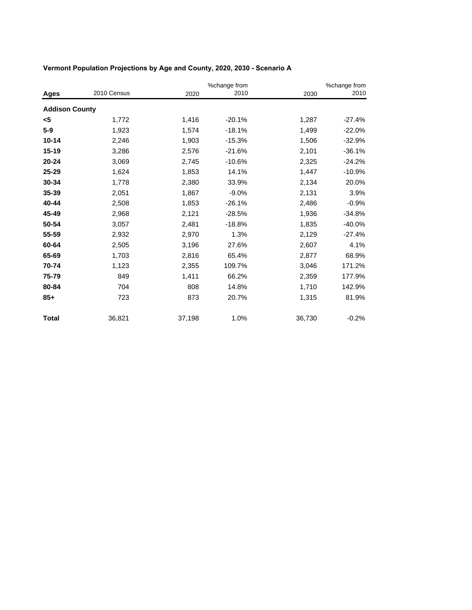|                       |             |        | %change from |        | %change from |
|-----------------------|-------------|--------|--------------|--------|--------------|
| Ages                  | 2010 Census | 2020   | 2010         | 2030   | 2010         |
| <b>Addison County</b> |             |        |              |        |              |
| <5                    | 1,772       | 1,416  | $-20.1%$     | 1,287  | $-27.4%$     |
| $5-9$                 | 1,923       | 1,574  | $-18.1%$     | 1,499  | $-22.0%$     |
| $10 - 14$             | 2,246       | 1,903  | $-15.3%$     | 1,506  | $-32.9%$     |
| $15 - 19$             | 3,286       | 2,576  | $-21.6%$     | 2,101  | $-36.1%$     |
| $20 - 24$             | 3,069       | 2,745  | $-10.6%$     | 2,325  | $-24.2%$     |
| 25-29                 | 1,624       | 1,853  | 14.1%        | 1,447  | $-10.9%$     |
| 30-34                 | 1,778       | 2,380  | 33.9%        | 2,134  | 20.0%        |
| 35-39                 | 2,051       | 1,867  | $-9.0%$      | 2,131  | 3.9%         |
| 40-44                 | 2,508       | 1,853  | $-26.1%$     | 2,486  | $-0.9%$      |
| 45-49                 | 2,968       | 2,121  | $-28.5%$     | 1,936  | $-34.8%$     |
| 50-54                 | 3,057       | 2,481  | $-18.8%$     | 1,835  | $-40.0%$     |
| 55-59                 | 2,932       | 2,970  | 1.3%         | 2,129  | $-27.4%$     |
| 60-64                 | 2,505       | 3,196  | 27.6%        | 2,607  | 4.1%         |
| 65-69                 | 1,703       | 2,816  | 65.4%        | 2,877  | 68.9%        |
| 70-74                 | 1,123       | 2,355  | 109.7%       | 3,046  | 171.2%       |
| 75-79                 | 849         | 1,411  | 66.2%        | 2,359  | 177.9%       |
| 80-84                 | 704         | 808    | 14.8%        | 1,710  | 142.9%       |
| $85+$                 | 723         | 873    | 20.7%        | 1,315  | 81.9%        |
| <b>Total</b>          | 36,821      | 37,198 | 1.0%         | 36,730 | $-0.2%$      |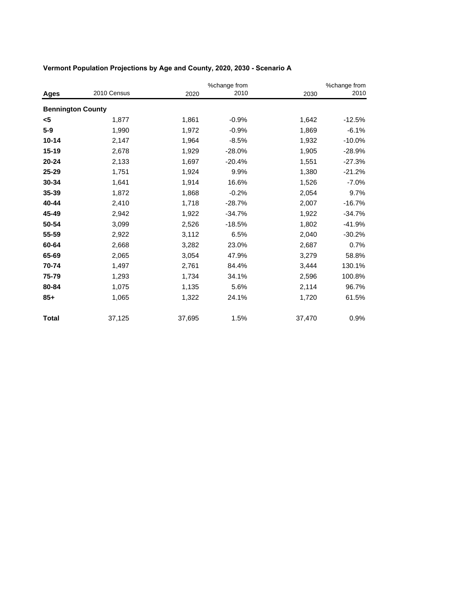|                          |             |        | %change from |        | %change from |  |
|--------------------------|-------------|--------|--------------|--------|--------------|--|
| Ages                     | 2010 Census | 2020   | 2010         | 2030   | 2010         |  |
| <b>Bennington County</b> |             |        |              |        |              |  |
| <5                       | 1,877       | 1,861  | $-0.9%$      | 1,642  | $-12.5%$     |  |
| $5-9$                    | 1,990       | 1,972  | $-0.9%$      | 1,869  | $-6.1%$      |  |
| $10 - 14$                | 2,147       | 1,964  | $-8.5%$      | 1,932  | $-10.0%$     |  |
| 15-19                    | 2,678       | 1,929  | $-28.0%$     | 1,905  | $-28.9%$     |  |
| $20 - 24$                | 2,133       | 1,697  | $-20.4%$     | 1,551  | $-27.3%$     |  |
| 25-29                    | 1,751       | 1,924  | 9.9%         | 1,380  | $-21.2%$     |  |
| 30-34                    | 1,641       | 1,914  | 16.6%        | 1,526  | $-7.0%$      |  |
| 35-39                    | 1,872       | 1,868  | $-0.2%$      | 2,054  | 9.7%         |  |
| 40-44                    | 2,410       | 1,718  | $-28.7%$     | 2,007  | $-16.7%$     |  |
| 45-49                    | 2,942       | 1,922  | $-34.7%$     | 1,922  | $-34.7%$     |  |
| 50-54                    | 3,099       | 2,526  | $-18.5%$     | 1,802  | $-41.9%$     |  |
| 55-59                    | 2,922       | 3,112  | 6.5%         | 2,040  | $-30.2%$     |  |
| 60-64                    | 2,668       | 3,282  | 23.0%        | 2,687  | 0.7%         |  |
| 65-69                    | 2,065       | 3,054  | 47.9%        | 3,279  | 58.8%        |  |
| 70-74                    | 1,497       | 2,761  | 84.4%        | 3,444  | 130.1%       |  |
| 75-79                    | 1,293       | 1,734  | 34.1%        | 2,596  | 100.8%       |  |
| 80-84                    | 1,075       | 1,135  | 5.6%         | 2,114  | 96.7%        |  |
| $85+$                    | 1,065       | 1,322  | 24.1%        | 1,720  | 61.5%        |  |
| <b>Total</b>             | 37,125      | 37,695 | 1.5%         | 37,470 | 0.9%         |  |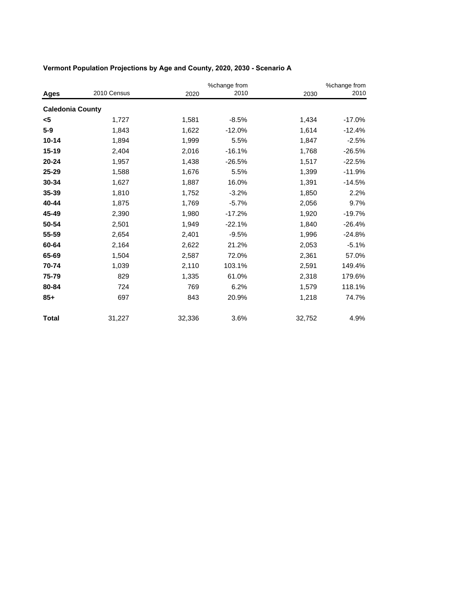|                         |             |        | %change from |        | %change from |  |
|-------------------------|-------------|--------|--------------|--------|--------------|--|
| Ages                    | 2010 Census | 2020   | 2010         | 2030   | 2010         |  |
| <b>Caledonia County</b> |             |        |              |        |              |  |
| <5                      | 1,727       | 1,581  | $-8.5%$      | 1,434  | $-17.0%$     |  |
| $5-9$                   | 1,843       | 1,622  | $-12.0%$     | 1,614  | $-12.4%$     |  |
| $10 - 14$               | 1,894       | 1,999  | 5.5%         | 1,847  | $-2.5%$      |  |
| $15 - 19$               | 2,404       | 2,016  | $-16.1%$     | 1,768  | $-26.5%$     |  |
| $20 - 24$               | 1,957       | 1,438  | $-26.5%$     | 1,517  | $-22.5%$     |  |
| 25-29                   | 1,588       | 1,676  | 5.5%         | 1,399  | $-11.9%$     |  |
| 30-34                   | 1,627       | 1,887  | 16.0%        | 1,391  | $-14.5%$     |  |
| 35-39                   | 1,810       | 1,752  | $-3.2%$      | 1,850  | 2.2%         |  |
| 40-44                   | 1,875       | 1,769  | $-5.7%$      | 2,056  | 9.7%         |  |
| 45-49                   | 2,390       | 1,980  | $-17.2%$     | 1,920  | $-19.7%$     |  |
| 50-54                   | 2,501       | 1,949  | $-22.1%$     | 1,840  | $-26.4%$     |  |
| 55-59                   | 2,654       | 2,401  | $-9.5%$      | 1,996  | $-24.8%$     |  |
| 60-64                   | 2,164       | 2,622  | 21.2%        | 2,053  | $-5.1%$      |  |
| 65-69                   | 1,504       | 2,587  | 72.0%        | 2,361  | 57.0%        |  |
| 70-74                   | 1,039       | 2,110  | 103.1%       | 2,591  | 149.4%       |  |
| 75-79                   | 829         | 1,335  | 61.0%        | 2,318  | 179.6%       |  |
| 80-84                   | 724         | 769    | 6.2%         | 1,579  | 118.1%       |  |
| $85+$                   | 697         | 843    | 20.9%        | 1,218  | 74.7%        |  |
| <b>Total</b>            | 31,227      | 32,336 | 3.6%         | 32,752 | 4.9%         |  |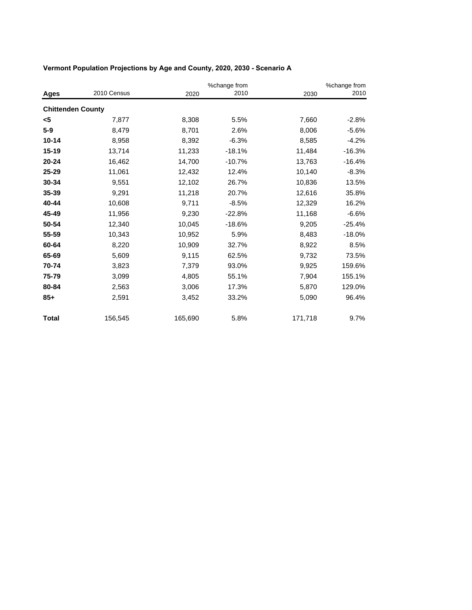|                          |             |         | %change from |         | %change from |
|--------------------------|-------------|---------|--------------|---------|--------------|
| Ages                     | 2010 Census | 2020    | 2010         | 2030    | 2010         |
| <b>Chittenden County</b> |             |         |              |         |              |
| <5                       | 7,877       | 8,308   | 5.5%         | 7,660   | $-2.8%$      |
| $5-9$                    | 8,479       | 8,701   | 2.6%         | 8,006   | $-5.6%$      |
| $10 - 14$                | 8,958       | 8,392   | $-6.3%$      | 8,585   | $-4.2%$      |
| 15-19                    | 13,714      | 11,233  | $-18.1%$     | 11,484  | $-16.3%$     |
| $20 - 24$                | 16,462      | 14,700  | $-10.7%$     | 13,763  | $-16.4%$     |
| 25-29                    | 11,061      | 12,432  | 12.4%        | 10,140  | $-8.3%$      |
| 30-34                    | 9,551       | 12,102  | 26.7%        | 10,836  | 13.5%        |
| 35-39                    | 9,291       | 11,218  | 20.7%        | 12,616  | 35.8%        |
| 40-44                    | 10,608      | 9,711   | $-8.5%$      | 12,329  | 16.2%        |
| 45-49                    | 11,956      | 9,230   | $-22.8%$     | 11,168  | $-6.6%$      |
| 50-54                    | 12,340      | 10,045  | $-18.6%$     | 9,205   | $-25.4%$     |
| 55-59                    | 10,343      | 10,952  | 5.9%         | 8,483   | $-18.0%$     |
| 60-64                    | 8,220       | 10,909  | 32.7%        | 8,922   | 8.5%         |
| 65-69                    | 5,609       | 9,115   | 62.5%        | 9,732   | 73.5%        |
| 70-74                    | 3,823       | 7,379   | 93.0%        | 9,925   | 159.6%       |
| 75-79                    | 3,099       | 4,805   | 55.1%        | 7,904   | 155.1%       |
| 80-84                    | 2,563       | 3,006   | 17.3%        | 5,870   | 129.0%       |
| $85+$                    | 2,591       | 3,452   | 33.2%        | 5,090   | 96.4%        |
| <b>Total</b>             | 156,545     | 165,690 | 5.8%         | 171,718 | 9.7%         |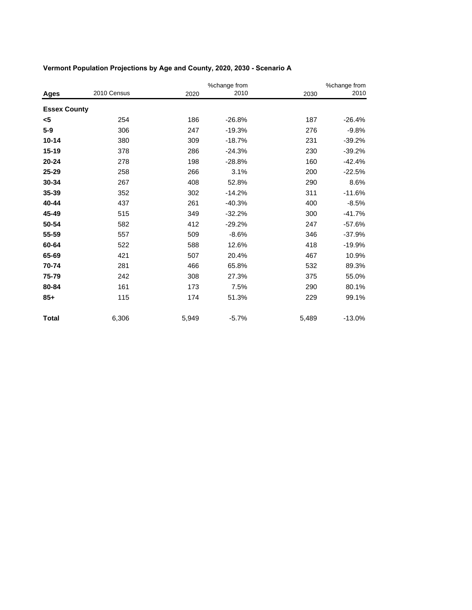|                     |             |       | %change from |       | %change from |  |
|---------------------|-------------|-------|--------------|-------|--------------|--|
| Ages                | 2010 Census | 2020  | 2010         | 2030  | 2010         |  |
| <b>Essex County</b> |             |       |              |       |              |  |
| <5                  | 254         | 186   | $-26.8%$     | 187   | $-26.4%$     |  |
| $5-9$               | 306         | 247   | $-19.3%$     | 276   | $-9.8%$      |  |
| $10 - 14$           | 380         | 309   | $-18.7%$     | 231   | $-39.2%$     |  |
| $15 - 19$           | 378         | 286   | $-24.3%$     | 230   | $-39.2%$     |  |
| $20 - 24$           | 278         | 198   | $-28.8%$     | 160   | $-42.4%$     |  |
| 25-29               | 258         | 266   | 3.1%         | 200   | $-22.5%$     |  |
| 30-34               | 267         | 408   | 52.8%        | 290   | 8.6%         |  |
| 35-39               | 352         | 302   | $-14.2%$     | 311   | $-11.6%$     |  |
| 40-44               | 437         | 261   | $-40.3%$     | 400   | $-8.5%$      |  |
| 45-49               | 515         | 349   | $-32.2%$     | 300   | $-41.7%$     |  |
| 50-54               | 582         | 412   | $-29.2%$     | 247   | $-57.6%$     |  |
| 55-59               | 557         | 509   | $-8.6%$      | 346   | $-37.9%$     |  |
| 60-64               | 522         | 588   | 12.6%        | 418   | $-19.9%$     |  |
| 65-69               | 421         | 507   | 20.4%        | 467   | 10.9%        |  |
| 70-74               | 281         | 466   | 65.8%        | 532   | 89.3%        |  |
| 75-79               | 242         | 308   | 27.3%        | 375   | 55.0%        |  |
| 80-84               | 161         | 173   | 7.5%         | 290   | 80.1%        |  |
| $85+$               | 115         | 174   | 51.3%        | 229   | 99.1%        |  |
| <b>Total</b>        | 6,306       | 5,949 | $-5.7%$      | 5,489 | $-13.0%$     |  |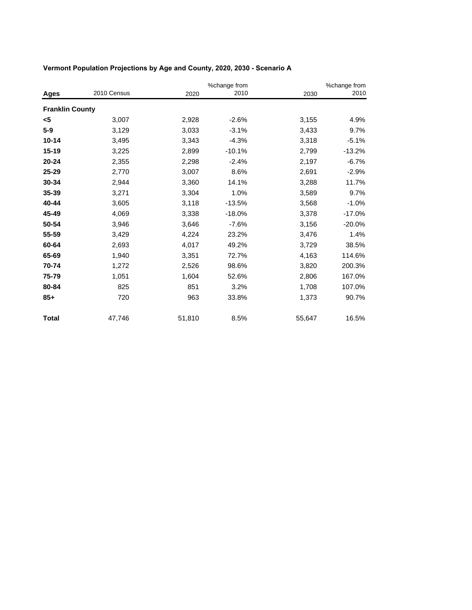|                        |             |        | %change from |        | %change from |
|------------------------|-------------|--------|--------------|--------|--------------|
| Ages                   | 2010 Census | 2020   | 2010         | 2030   | 2010         |
| <b>Franklin County</b> |             |        |              |        |              |
| <5                     | 3,007       | 2,928  | $-2.6%$      | 3,155  | 4.9%         |
| $5-9$                  | 3,129       | 3,033  | $-3.1%$      | 3,433  | 9.7%         |
| $10 - 14$              | 3,495       | 3,343  | $-4.3%$      | 3,318  | $-5.1%$      |
| 15-19                  | 3,225       | 2,899  | $-10.1%$     | 2,799  | $-13.2%$     |
| $20 - 24$              | 2,355       | 2,298  | $-2.4%$      | 2,197  | $-6.7%$      |
| 25-29                  | 2,770       | 3,007  | 8.6%         | 2,691  | $-2.9%$      |
| 30-34                  | 2,944       | 3,360  | 14.1%        | 3,288  | 11.7%        |
| 35-39                  | 3,271       | 3,304  | 1.0%         | 3,589  | 9.7%         |
| 40-44                  | 3,605       | 3,118  | $-13.5%$     | 3,568  | $-1.0%$      |
| 45-49                  | 4,069       | 3,338  | $-18.0%$     | 3,378  | $-17.0%$     |
| 50-54                  | 3,946       | 3,646  | $-7.6%$      | 3,156  | $-20.0%$     |
| 55-59                  | 3,429       | 4,224  | 23.2%        | 3,476  | 1.4%         |
| 60-64                  | 2,693       | 4,017  | 49.2%        | 3,729  | 38.5%        |
| 65-69                  | 1,940       | 3,351  | 72.7%        | 4,163  | 114.6%       |
| 70-74                  | 1,272       | 2,526  | 98.6%        | 3,820  | 200.3%       |
| 75-79                  | 1,051       | 1,604  | 52.6%        | 2,806  | 167.0%       |
| 80-84                  | 825         | 851    | 3.2%         | 1,708  | 107.0%       |
| $85+$                  | 720         | 963    | 33.8%        | 1,373  | 90.7%        |
| <b>Total</b>           | 47,746      | 51,810 | 8.5%         | 55,647 | 16.5%        |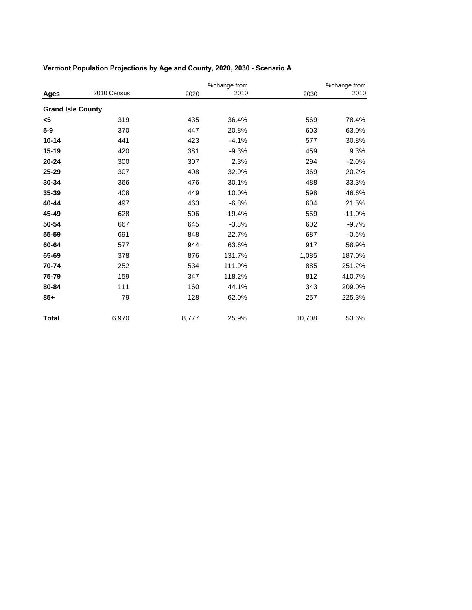|                          |             |       | %change from |        | %change from |  |
|--------------------------|-------------|-------|--------------|--------|--------------|--|
| <b>Ages</b>              | 2010 Census | 2020  | 2010         | 2030   | 2010         |  |
| <b>Grand Isle County</b> |             |       |              |        |              |  |
| <5                       | 319         | 435   | 36.4%        | 569    | 78.4%        |  |
| $5-9$                    | 370         | 447   | 20.8%        | 603    | 63.0%        |  |
| $10 - 14$                | 441         | 423   | $-4.1%$      | 577    | 30.8%        |  |
| $15 - 19$                | 420         | 381   | $-9.3%$      | 459    | 9.3%         |  |
| $20 - 24$                | 300         | 307   | 2.3%         | 294    | $-2.0%$      |  |
| 25-29                    | 307         | 408   | 32.9%        | 369    | 20.2%        |  |
| 30-34                    | 366         | 476   | 30.1%        | 488    | 33.3%        |  |
| 35-39                    | 408         | 449   | 10.0%        | 598    | 46.6%        |  |
| 40-44                    | 497         | 463   | $-6.8%$      | 604    | 21.5%        |  |
| 45-49                    | 628         | 506   | $-19.4%$     | 559    | $-11.0%$     |  |
| 50-54                    | 667         | 645   | $-3.3%$      | 602    | $-9.7%$      |  |
| 55-59                    | 691         | 848   | 22.7%        | 687    | $-0.6%$      |  |
| 60-64                    | 577         | 944   | 63.6%        | 917    | 58.9%        |  |
| 65-69                    | 378         | 876   | 131.7%       | 1,085  | 187.0%       |  |
| 70-74                    | 252         | 534   | 111.9%       | 885    | 251.2%       |  |
| 75-79                    | 159         | 347   | 118.2%       | 812    | 410.7%       |  |
| 80-84                    | 111         | 160   | 44.1%        | 343    | 209.0%       |  |
| $85+$                    | 79          | 128   | 62.0%        | 257    | 225.3%       |  |
| <b>Total</b>             | 6,970       | 8,777 | 25.9%        | 10,708 | 53.6%        |  |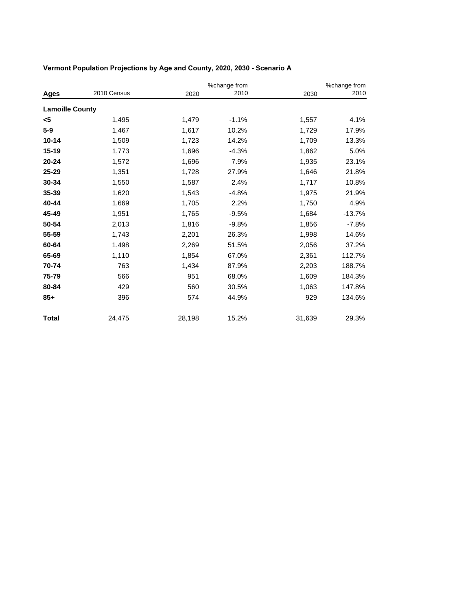|                        |             |        | %change from |        | %change from |
|------------------------|-------------|--------|--------------|--------|--------------|
| Ages                   | 2010 Census | 2020   | 2010         | 2030   | 2010         |
| <b>Lamoille County</b> |             |        |              |        |              |
| <5                     | 1,495       | 1,479  | $-1.1%$      | 1,557  | 4.1%         |
| $5-9$                  | 1,467       | 1,617  | 10.2%        | 1,729  | 17.9%        |
| $10 - 14$              | 1,509       | 1,723  | 14.2%        | 1,709  | 13.3%        |
| 15-19                  | 1,773       | 1,696  | $-4.3%$      | 1,862  | 5.0%         |
| $20 - 24$              | 1,572       | 1,696  | 7.9%         | 1,935  | 23.1%        |
| 25-29                  | 1,351       | 1,728  | 27.9%        | 1,646  | 21.8%        |
| 30-34                  | 1,550       | 1,587  | 2.4%         | 1,717  | 10.8%        |
| 35-39                  | 1,620       | 1,543  | $-4.8%$      | 1,975  | 21.9%        |
| 40-44                  | 1,669       | 1,705  | 2.2%         | 1,750  | 4.9%         |
| 45-49                  | 1,951       | 1,765  | $-9.5%$      | 1,684  | $-13.7%$     |
| 50-54                  | 2,013       | 1,816  | $-9.8%$      | 1,856  | $-7.8%$      |
| 55-59                  | 1,743       | 2,201  | 26.3%        | 1,998  | 14.6%        |
| 60-64                  | 1,498       | 2,269  | 51.5%        | 2,056  | 37.2%        |
| 65-69                  | 1,110       | 1,854  | 67.0%        | 2,361  | 112.7%       |
| 70-74                  | 763         | 1,434  | 87.9%        | 2,203  | 188.7%       |
| 75-79                  | 566         | 951    | 68.0%        | 1,609  | 184.3%       |
| 80-84                  | 429         | 560    | 30.5%        | 1,063  | 147.8%       |
| $85+$                  | 396         | 574    | 44.9%        | 929    | 134.6%       |
| <b>Total</b>           | 24,475      | 28,198 | 15.2%        | 31,639 | 29.3%        |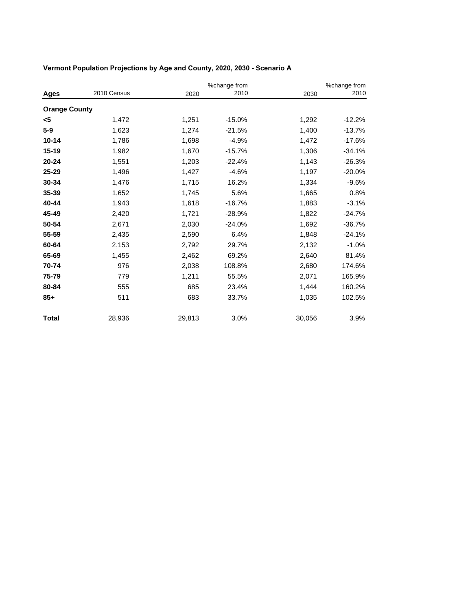|                      |             |        | %change from |        | %change from |
|----------------------|-------------|--------|--------------|--------|--------------|
| Ages                 | 2010 Census | 2020   | 2010         | 2030   | 2010         |
| <b>Orange County</b> |             |        |              |        |              |
| <5                   | 1,472       | 1,251  | $-15.0%$     | 1,292  | $-12.2%$     |
| $5-9$                | 1,623       | 1,274  | $-21.5%$     | 1,400  | $-13.7%$     |
| $10 - 14$            | 1,786       | 1,698  | $-4.9%$      | 1,472  | $-17.6%$     |
| 15-19                | 1,982       | 1,670  | $-15.7%$     | 1,306  | $-34.1%$     |
| $20 - 24$            | 1,551       | 1,203  | $-22.4%$     | 1,143  | $-26.3%$     |
| 25-29                | 1,496       | 1,427  | $-4.6%$      | 1,197  | $-20.0%$     |
| 30-34                | 1,476       | 1,715  | 16.2%        | 1,334  | $-9.6%$      |
| 35-39                | 1,652       | 1,745  | 5.6%         | 1,665  | 0.8%         |
| 40-44                | 1,943       | 1,618  | $-16.7%$     | 1,883  | $-3.1%$      |
| 45-49                | 2,420       | 1,721  | $-28.9%$     | 1,822  | $-24.7%$     |
| 50-54                | 2,671       | 2,030  | $-24.0%$     | 1,692  | $-36.7%$     |
| 55-59                | 2,435       | 2,590  | 6.4%         | 1,848  | $-24.1%$     |
| 60-64                | 2,153       | 2,792  | 29.7%        | 2,132  | $-1.0%$      |
| 65-69                | 1,455       | 2,462  | 69.2%        | 2,640  | 81.4%        |
| 70-74                | 976         | 2,038  | 108.8%       | 2,680  | 174.6%       |
| 75-79                | 779         | 1,211  | 55.5%        | 2,071  | 165.9%       |
| 80-84                | 555         | 685    | 23.4%        | 1,444  | 160.2%       |
| $85+$                | 511         | 683    | 33.7%        | 1,035  | 102.5%       |
| <b>Total</b>         | 28,936      | 29,813 | 3.0%         | 30,056 | 3.9%         |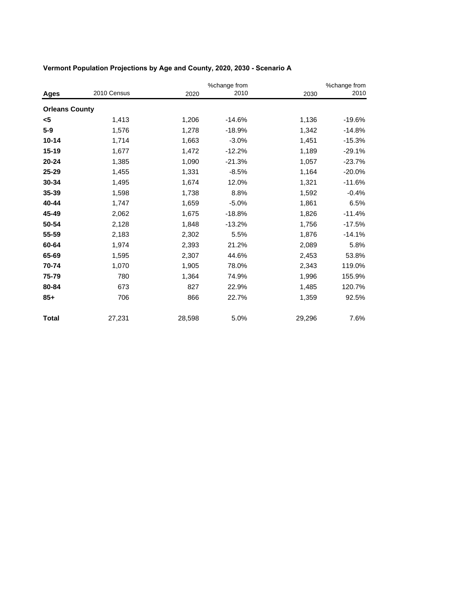|                       |             |        | %change from |        | %change from |
|-----------------------|-------------|--------|--------------|--------|--------------|
| Ages                  | 2010 Census | 2020   | 2010         | 2030   | 2010         |
| <b>Orleans County</b> |             |        |              |        |              |
| <5                    | 1,413       | 1,206  | $-14.6%$     | 1,136  | $-19.6%$     |
| $5-9$                 | 1,576       | 1,278  | $-18.9%$     | 1,342  | $-14.8%$     |
| $10 - 14$             | 1,714       | 1,663  | $-3.0%$      | 1,451  | $-15.3%$     |
| 15-19                 | 1,677       | 1,472  | $-12.2%$     | 1,189  | $-29.1%$     |
| $20 - 24$             | 1,385       | 1,090  | $-21.3%$     | 1,057  | $-23.7%$     |
| 25-29                 | 1,455       | 1,331  | $-8.5%$      | 1,164  | $-20.0%$     |
| 30-34                 | 1,495       | 1,674  | 12.0%        | 1,321  | $-11.6%$     |
| 35-39                 | 1,598       | 1,738  | 8.8%         | 1,592  | $-0.4%$      |
| 40-44                 | 1,747       | 1,659  | $-5.0%$      | 1,861  | 6.5%         |
| 45-49                 | 2,062       | 1,675  | $-18.8%$     | 1,826  | $-11.4%$     |
| 50-54                 | 2,128       | 1,848  | $-13.2%$     | 1,756  | $-17.5%$     |
| 55-59                 | 2,183       | 2,302  | 5.5%         | 1,876  | $-14.1%$     |
| 60-64                 | 1,974       | 2,393  | 21.2%        | 2,089  | 5.8%         |
| 65-69                 | 1,595       | 2,307  | 44.6%        | 2,453  | 53.8%        |
| 70-74                 | 1,070       | 1,905  | 78.0%        | 2,343  | 119.0%       |
| 75-79                 | 780         | 1,364  | 74.9%        | 1,996  | 155.9%       |
| 80-84                 | 673         | 827    | 22.9%        | 1,485  | 120.7%       |
| $85+$                 | 706         | 866    | 22.7%        | 1,359  | 92.5%        |
| <b>Total</b>          | 27,231      | 28,598 | 5.0%         | 29,296 | 7.6%         |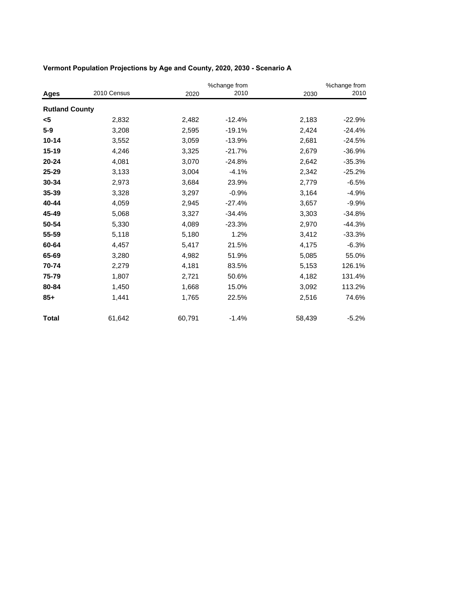|                       |             | %change from |          |        | %change from |
|-----------------------|-------------|--------------|----------|--------|--------------|
| Ages                  | 2010 Census | 2020         | 2010     | 2030   | 2010         |
| <b>Rutland County</b> |             |              |          |        |              |
| <5                    | 2,832       | 2,482        | $-12.4%$ | 2,183  | $-22.9%$     |
| $5-9$                 | 3,208       | 2,595        | $-19.1%$ | 2,424  | $-24.4%$     |
| $10 - 14$             | 3,552       | 3,059        | $-13.9%$ | 2,681  | $-24.5%$     |
| 15-19                 | 4,246       | 3,325        | $-21.7%$ | 2,679  | $-36.9%$     |
| $20 - 24$             | 4,081       | 3,070        | $-24.8%$ | 2,642  | $-35.3%$     |
| 25-29                 | 3,133       | 3,004        | $-4.1%$  | 2,342  | $-25.2%$     |
| 30-34                 | 2,973       | 3,684        | 23.9%    | 2,779  | $-6.5%$      |
| 35-39                 | 3,328       | 3,297        | $-0.9%$  | 3,164  | $-4.9%$      |
| 40-44                 | 4,059       | 2,945        | $-27.4%$ | 3,657  | $-9.9%$      |
| 45-49                 | 5,068       | 3,327        | $-34.4%$ | 3,303  | $-34.8%$     |
| 50-54                 | 5,330       | 4,089        | $-23.3%$ | 2,970  | $-44.3%$     |
| 55-59                 | 5,118       | 5,180        | 1.2%     | 3,412  | $-33.3%$     |
| 60-64                 | 4,457       | 5,417        | 21.5%    | 4,175  | $-6.3%$      |
| 65-69                 | 3,280       | 4,982        | 51.9%    | 5,085  | 55.0%        |
| 70-74                 | 2,279       | 4,181        | 83.5%    | 5,153  | 126.1%       |
| 75-79                 | 1,807       | 2,721        | 50.6%    | 4,182  | 131.4%       |
| 80-84                 | 1,450       | 1,668        | 15.0%    | 3,092  | 113.2%       |
| $85+$                 | 1,441       | 1,765        | 22.5%    | 2,516  | 74.6%        |
| <b>Total</b>          | 61,642      | 60,791       | $-1.4%$  | 58,439 | $-5.2%$      |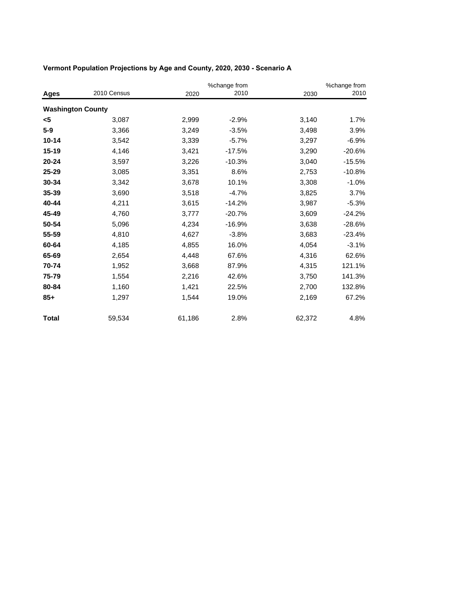|                          |             |        | %change from |        | %change from |  |
|--------------------------|-------------|--------|--------------|--------|--------------|--|
| Ages                     | 2010 Census | 2020   | 2010         | 2030   | 2010         |  |
| <b>Washington County</b> |             |        |              |        |              |  |
| <5                       | 3,087       | 2,999  | $-2.9%$      | 3,140  | 1.7%         |  |
| $5-9$                    | 3,366       | 3,249  | $-3.5%$      | 3,498  | 3.9%         |  |
| $10 - 14$                | 3,542       | 3,339  | $-5.7%$      | 3,297  | $-6.9%$      |  |
| 15-19                    | 4,146       | 3,421  | $-17.5%$     | 3,290  | $-20.6%$     |  |
| 20-24                    | 3,597       | 3,226  | $-10.3%$     | 3,040  | $-15.5%$     |  |
| 25-29                    | 3,085       | 3,351  | 8.6%         | 2,753  | $-10.8%$     |  |
| 30-34                    | 3,342       | 3,678  | 10.1%        | 3,308  | $-1.0%$      |  |
| 35-39                    | 3,690       | 3,518  | $-4.7%$      | 3,825  | 3.7%         |  |
| 40-44                    | 4,211       | 3,615  | $-14.2%$     | 3,987  | $-5.3%$      |  |
| 45-49                    | 4,760       | 3,777  | $-20.7%$     | 3,609  | $-24.2%$     |  |
| 50-54                    | 5,096       | 4,234  | $-16.9%$     | 3,638  | $-28.6%$     |  |
| 55-59                    | 4,810       | 4,627  | $-3.8%$      | 3,683  | $-23.4%$     |  |
| 60-64                    | 4,185       | 4,855  | 16.0%        | 4,054  | $-3.1%$      |  |
| 65-69                    | 2,654       | 4,448  | 67.6%        | 4,316  | 62.6%        |  |
| 70-74                    | 1,952       | 3,668  | 87.9%        | 4,315  | 121.1%       |  |
| 75-79                    | 1,554       | 2,216  | 42.6%        | 3,750  | 141.3%       |  |
| 80-84                    | 1,160       | 1,421  | 22.5%        | 2,700  | 132.8%       |  |
| $85+$                    | 1,297       | 1,544  | 19.0%        | 2,169  | 67.2%        |  |
| <b>Total</b>             | 59,534      | 61,186 | 2.8%         | 62,372 | 4.8%         |  |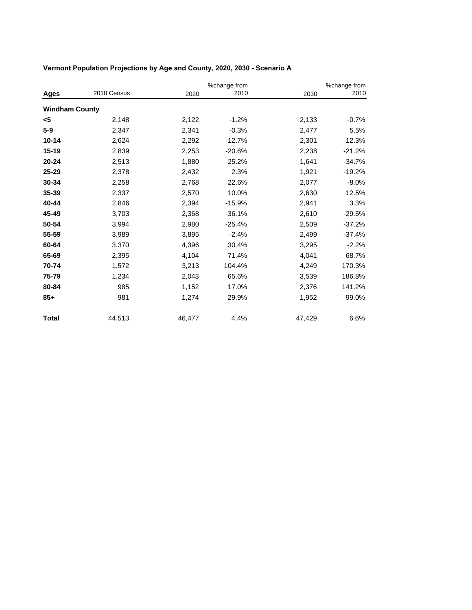|                       |             |        | %change from |        | %change from |
|-----------------------|-------------|--------|--------------|--------|--------------|
| Ages                  | 2010 Census | 2020   | 2010         | 2030   | 2010         |
| <b>Windham County</b> |             |        |              |        |              |
| <5                    | 2,148       | 2,122  | $-1.2%$      | 2,133  | $-0.7%$      |
| $5-9$                 | 2,347       | 2,341  | $-0.3%$      | 2,477  | 5.5%         |
| $10 - 14$             | 2,624       | 2,292  | $-12.7%$     | 2,301  | $-12.3%$     |
| 15-19                 | 2,839       | 2,253  | $-20.6%$     | 2,238  | $-21.2%$     |
| 20-24                 | 2,513       | 1,880  | $-25.2%$     | 1,641  | $-34.7%$     |
| 25-29                 | 2,378       | 2,432  | 2.3%         | 1,921  | $-19.2%$     |
| 30-34                 | 2,258       | 2,768  | 22.6%        | 2,077  | $-8.0%$      |
| 35-39                 | 2,337       | 2,570  | 10.0%        | 2,630  | 12.5%        |
| 40-44                 | 2,846       | 2,394  | $-15.9%$     | 2,941  | 3.3%         |
| 45-49                 | 3,703       | 2,368  | $-36.1%$     | 2,610  | $-29.5%$     |
| 50-54                 | 3,994       | 2,980  | $-25.4%$     | 2,509  | $-37.2%$     |
| 55-59                 | 3,989       | 3,895  | $-2.4%$      | 2,499  | $-37.4%$     |
| 60-64                 | 3,370       | 4,396  | 30.4%        | 3,295  | $-2.2%$      |
| 65-69                 | 2,395       | 4,104  | 71.4%        | 4,041  | 68.7%        |
| 70-74                 | 1,572       | 3,213  | 104.4%       | 4,249  | 170.3%       |
| 75-79                 | 1,234       | 2,043  | 65.6%        | 3,539  | 186.8%       |
| 80-84                 | 985         | 1,152  | 17.0%        | 2,376  | 141.2%       |
| $85+$                 | 981         | 1,274  | 29.9%        | 1,952  | 99.0%        |
| <b>Total</b>          | 44,513      | 46,477 | 4.4%         | 47,429 | 6.6%         |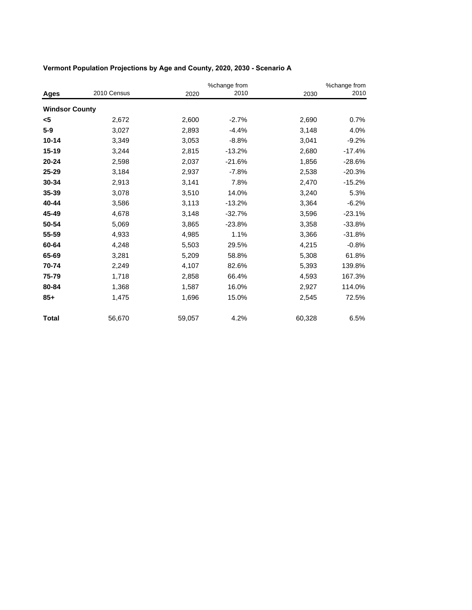|                       |             |        | %change from |        | %change from |
|-----------------------|-------------|--------|--------------|--------|--------------|
| Ages                  | 2010 Census | 2020   | 2010         | 2030   | 2010         |
| <b>Windsor County</b> |             |        |              |        |              |
| <5                    | 2,672       | 2,600  | $-2.7%$      | 2,690  | 0.7%         |
| $5-9$                 | 3,027       | 2,893  | $-4.4%$      | 3,148  | 4.0%         |
| $10 - 14$             | 3,349       | 3,053  | $-8.8%$      | 3,041  | $-9.2%$      |
| 15-19                 | 3,244       | 2,815  | $-13.2%$     | 2,680  | $-17.4%$     |
| $20 - 24$             | 2,598       | 2,037  | $-21.6%$     | 1,856  | $-28.6%$     |
| 25-29                 | 3,184       | 2,937  | $-7.8%$      | 2,538  | $-20.3%$     |
| 30-34                 | 2,913       | 3,141  | 7.8%         | 2,470  | $-15.2%$     |
| 35-39                 | 3,078       | 3,510  | 14.0%        | 3,240  | 5.3%         |
| 40-44                 | 3,586       | 3,113  | $-13.2%$     | 3,364  | $-6.2%$      |
| 45-49                 | 4,678       | 3,148  | $-32.7%$     | 3,596  | $-23.1%$     |
| 50-54                 | 5,069       | 3,865  | $-23.8%$     | 3,358  | $-33.8%$     |
| 55-59                 | 4,933       | 4,985  | 1.1%         | 3,366  | $-31.8%$     |
| 60-64                 | 4,248       | 5,503  | 29.5%        | 4,215  | $-0.8%$      |
| 65-69                 | 3,281       | 5,209  | 58.8%        | 5,308  | 61.8%        |
| 70-74                 | 2,249       | 4,107  | 82.6%        | 5,393  | 139.8%       |
| 75-79                 | 1,718       | 2,858  | 66.4%        | 4,593  | 167.3%       |
| 80-84                 | 1,368       | 1,587  | 16.0%        | 2,927  | 114.0%       |
| $85+$                 | 1,475       | 1,696  | 15.0%        | 2,545  | 72.5%        |
| <b>Total</b>          | 56,670      | 59,057 | 4.2%         | 60,328 | 6.5%         |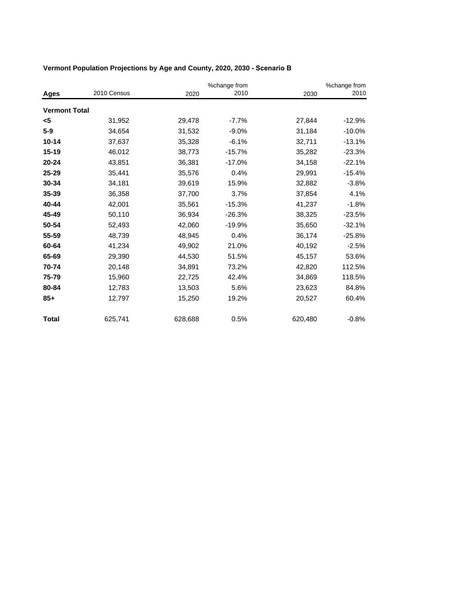|                      |             |         | %change from |         | %change from |
|----------------------|-------------|---------|--------------|---------|--------------|
| <b>Ages</b>          | 2010 Census | 2020    | 2010         | 2030    | 2010         |
| <b>Vermont Total</b> |             |         |              |         |              |
| <5                   | 31,952      | 29,478  | $-7.7%$      | 27,844  | $-12.9%$     |
| $5-9$                | 34,654      | 31,532  | $-9.0%$      | 31,184  | $-10.0%$     |
| $10 - 14$            | 37,637      | 35,328  | $-6.1%$      | 32,711  | $-13.1%$     |
| $15 - 19$            | 46,012      | 38,773  | $-15.7%$     | 35,282  | $-23.3%$     |
| $20 - 24$            | 43,851      | 36,381  | $-17.0%$     | 34,158  | $-22.1%$     |
| $25 - 29$            | 35,441      | 35,576  | 0.4%         | 29,991  | $-15.4%$     |
| 30-34                | 34,181      | 39,619  | 15.9%        | 32,882  | $-3.8%$      |
| $35 - 39$            | 36,358      | 37,700  | 3.7%         | 37,854  | 4.1%         |
| 40-44                | 42,001      | 35,561  | $-15.3%$     | 41,237  | $-1.8%$      |
| 45-49                | 50,110      | 36,934  | $-26.3%$     | 38,325  | $-23.5%$     |
| 50-54                | 52,493      | 42,060  | $-19.9%$     | 35,650  | $-32.1%$     |
| 55-59                | 48,739      | 48,945  | 0.4%         | 36,174  | $-25.8%$     |
| 60-64                | 41,234      | 49,902  | 21.0%        | 40,192  | $-2.5%$      |
| 65-69                | 29,390      | 44,530  | 51.5%        | 45,157  | 53.6%        |
| 70-74                | 20,148      | 34,891  | 73.2%        | 42,820  | 112.5%       |
| 75-79                | 15,960      | 22,725  | 42.4%        | 34,869  | 118.5%       |
| 80-84                | 12,783      | 13,503  | 5.6%         | 23,623  | 84.8%        |
| $85+$                | 12,797      | 15,250  | 19.2%        | 20,527  | 60.4%        |
| Total                | 625,741     | 628,688 | 0.5%         | 620,480 | $-0.8%$      |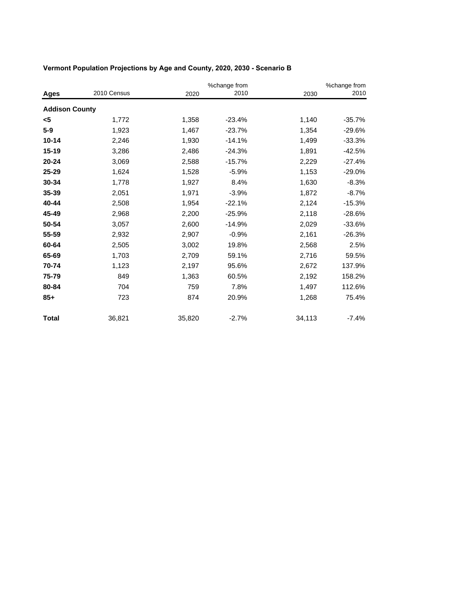|                       |             |        | %change from |        | %change from |
|-----------------------|-------------|--------|--------------|--------|--------------|
| Ages                  | 2010 Census | 2020   | 2010         | 2030   | 2010         |
| <b>Addison County</b> |             |        |              |        |              |
| <5                    | 1,772       | 1,358  | $-23.4%$     | 1,140  | $-35.7%$     |
| $5-9$                 | 1,923       | 1,467  | $-23.7%$     | 1,354  | $-29.6%$     |
| $10 - 14$             | 2,246       | 1,930  | $-14.1%$     | 1,499  | $-33.3%$     |
| 15-19                 | 3,286       | 2,486  | $-24.3%$     | 1,891  | $-42.5%$     |
| $20 - 24$             | 3,069       | 2,588  | $-15.7%$     | 2,229  | $-27.4%$     |
| 25-29                 | 1,624       | 1,528  | $-5.9%$      | 1,153  | $-29.0%$     |
| 30-34                 | 1,778       | 1,927  | 8.4%         | 1,630  | $-8.3%$      |
| 35-39                 | 2,051       | 1,971  | $-3.9%$      | 1,872  | $-8.7%$      |
| 40-44                 | 2,508       | 1,954  | $-22.1%$     | 2,124  | $-15.3%$     |
| 45-49                 | 2,968       | 2,200  | $-25.9%$     | 2,118  | $-28.6%$     |
| 50-54                 | 3,057       | 2,600  | $-14.9%$     | 2,029  | $-33.6%$     |
| 55-59                 | 2,932       | 2,907  | $-0.9%$      | 2,161  | $-26.3%$     |
| 60-64                 | 2,505       | 3,002  | 19.8%        | 2,568  | 2.5%         |
| 65-69                 | 1,703       | 2,709  | 59.1%        | 2,716  | 59.5%        |
| 70-74                 | 1,123       | 2,197  | 95.6%        | 2,672  | 137.9%       |
| 75-79                 | 849         | 1,363  | 60.5%        | 2,192  | 158.2%       |
| 80-84                 | 704         | 759    | 7.8%         | 1,497  | 112.6%       |
| $85+$                 | 723         | 874    | 20.9%        | 1,268  | 75.4%        |
| <b>Total</b>          | 36,821      | 35,820 | $-2.7%$      | 34,113 | $-7.4%$      |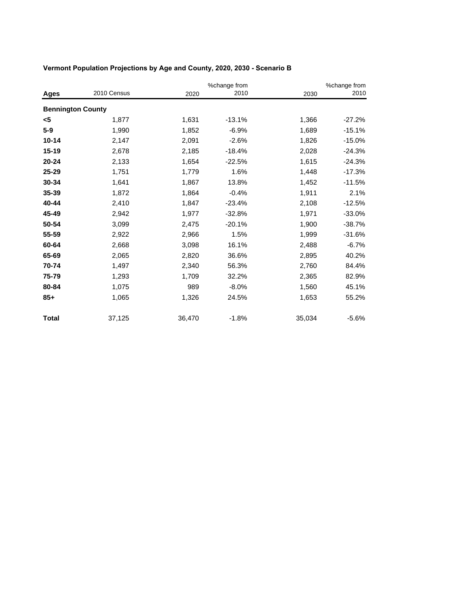|                          |             |        | %change from |        | %change from |  |
|--------------------------|-------------|--------|--------------|--------|--------------|--|
| Ages                     | 2010 Census | 2020   | 2010         | 2030   | 2010         |  |
| <b>Bennington County</b> |             |        |              |        |              |  |
| <5                       | 1,877       | 1,631  | $-13.1%$     | 1,366  | $-27.2%$     |  |
| $5-9$                    | 1,990       | 1,852  | $-6.9%$      | 1,689  | $-15.1%$     |  |
| $10 - 14$                | 2,147       | 2,091  | $-2.6%$      | 1,826  | $-15.0%$     |  |
| 15-19                    | 2,678       | 2,185  | $-18.4%$     | 2,028  | $-24.3%$     |  |
| $20 - 24$                | 2,133       | 1,654  | $-22.5%$     | 1,615  | $-24.3%$     |  |
| 25-29                    | 1,751       | 1,779  | 1.6%         | 1,448  | $-17.3%$     |  |
| 30-34                    | 1,641       | 1,867  | 13.8%        | 1,452  | $-11.5%$     |  |
| 35-39                    | 1,872       | 1,864  | $-0.4%$      | 1,911  | 2.1%         |  |
| 40-44                    | 2,410       | 1,847  | $-23.4%$     | 2,108  | $-12.5%$     |  |
| 45-49                    | 2,942       | 1,977  | $-32.8%$     | 1,971  | $-33.0%$     |  |
| 50-54                    | 3,099       | 2,475  | $-20.1%$     | 1,900  | $-38.7%$     |  |
| 55-59                    | 2,922       | 2,966  | 1.5%         | 1,999  | $-31.6%$     |  |
| 60-64                    | 2,668       | 3,098  | 16.1%        | 2,488  | $-6.7%$      |  |
| 65-69                    | 2,065       | 2,820  | 36.6%        | 2,895  | 40.2%        |  |
| 70-74                    | 1,497       | 2,340  | 56.3%        | 2,760  | 84.4%        |  |
| 75-79                    | 1,293       | 1,709  | 32.2%        | 2,365  | 82.9%        |  |
| 80-84                    | 1,075       | 989    | $-8.0%$      | 1,560  | 45.1%        |  |
| $85+$                    | 1,065       | 1,326  | 24.5%        | 1,653  | 55.2%        |  |
| <b>Total</b>             | 37,125      | 36,470 | $-1.8%$      | 35,034 | $-5.6%$      |  |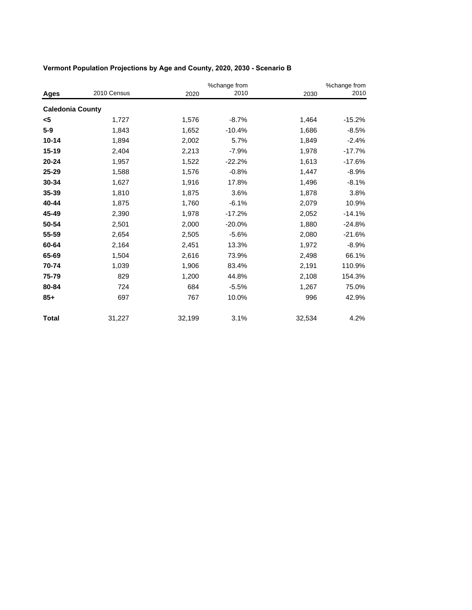|                         |             |        | %change from |        | %change from |
|-------------------------|-------------|--------|--------------|--------|--------------|
| Ages                    | 2010 Census | 2020   | 2010         | 2030   | 2010         |
| <b>Caledonia County</b> |             |        |              |        |              |
| <5                      | 1,727       | 1,576  | $-8.7%$      | 1,464  | $-15.2%$     |
| $5-9$                   | 1,843       | 1,652  | $-10.4%$     | 1,686  | $-8.5%$      |
| $10 - 14$               | 1,894       | 2,002  | 5.7%         | 1,849  | $-2.4%$      |
| 15-19                   | 2,404       | 2,213  | $-7.9%$      | 1,978  | $-17.7%$     |
| 20-24                   | 1,957       | 1,522  | $-22.2%$     | 1,613  | $-17.6%$     |
| 25-29                   | 1,588       | 1,576  | $-0.8%$      | 1,447  | $-8.9%$      |
| 30-34                   | 1,627       | 1,916  | 17.8%        | 1,496  | $-8.1%$      |
| 35-39                   | 1,810       | 1,875  | 3.6%         | 1,878  | 3.8%         |
| 40-44                   | 1,875       | 1,760  | $-6.1%$      | 2,079  | 10.9%        |
| 45-49                   | 2,390       | 1,978  | $-17.2%$     | 2,052  | $-14.1%$     |
| 50-54                   | 2,501       | 2,000  | $-20.0%$     | 1,880  | $-24.8%$     |
| 55-59                   | 2,654       | 2,505  | $-5.6%$      | 2,080  | $-21.6%$     |
| 60-64                   | 2,164       | 2,451  | 13.3%        | 1,972  | $-8.9%$      |
| 65-69                   | 1,504       | 2,616  | 73.9%        | 2,498  | 66.1%        |
| 70-74                   | 1,039       | 1,906  | 83.4%        | 2,191  | 110.9%       |
| 75-79                   | 829         | 1,200  | 44.8%        | 2,108  | 154.3%       |
| 80-84                   | 724         | 684    | $-5.5%$      | 1,267  | 75.0%        |
| $85+$                   | 697         | 767    | 10.0%        | 996    | 42.9%        |
| <b>Total</b>            | 31,227      | 32,199 | 3.1%         | 32,534 | 4.2%         |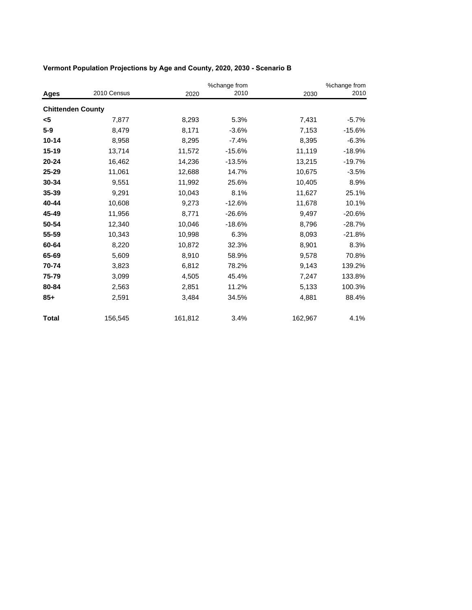|                          |             |         | %change from |         | %change from |
|--------------------------|-------------|---------|--------------|---------|--------------|
| <b>Ages</b>              | 2010 Census | 2020    | 2010         | 2030    | 2010         |
| <b>Chittenden County</b> |             |         |              |         |              |
| <5                       | 7,877       | 8,293   | 5.3%         | 7,431   | $-5.7%$      |
| $5-9$                    | 8,479       | 8,171   | $-3.6%$      | 7,153   | $-15.6%$     |
| $10 - 14$                | 8,958       | 8,295   | $-7.4%$      | 8,395   | $-6.3%$      |
| 15-19                    | 13,714      | 11,572  | $-15.6%$     | 11,119  | $-18.9%$     |
| $20 - 24$                | 16,462      | 14,236  | $-13.5%$     | 13,215  | $-19.7%$     |
| $25 - 29$                | 11,061      | 12,688  | 14.7%        | 10,675  | $-3.5%$      |
| 30-34                    | 9,551       | 11,992  | 25.6%        | 10,405  | 8.9%         |
| 35-39                    | 9,291       | 10,043  | 8.1%         | 11,627  | 25.1%        |
| 40-44                    | 10,608      | 9,273   | $-12.6%$     | 11,678  | 10.1%        |
| 45-49                    | 11,956      | 8,771   | $-26.6%$     | 9,497   | $-20.6%$     |
| 50-54                    | 12,340      | 10,046  | $-18.6%$     | 8,796   | $-28.7%$     |
| 55-59                    | 10,343      | 10,998  | 6.3%         | 8,093   | $-21.8%$     |
| 60-64                    | 8,220       | 10,872  | 32.3%        | 8,901   | 8.3%         |
| 65-69                    | 5,609       | 8,910   | 58.9%        | 9,578   | 70.8%        |
| 70-74                    | 3,823       | 6,812   | 78.2%        | 9,143   | 139.2%       |
| 75-79                    | 3,099       | 4,505   | 45.4%        | 7,247   | 133.8%       |
| 80-84                    | 2,563       | 2,851   | 11.2%        | 5,133   | 100.3%       |
| $85+$                    | 2,591       | 3,484   | 34.5%        | 4,881   | 88.4%        |
| <b>Total</b>             | 156,545     | 161,812 | 3.4%         | 162,967 | 4.1%         |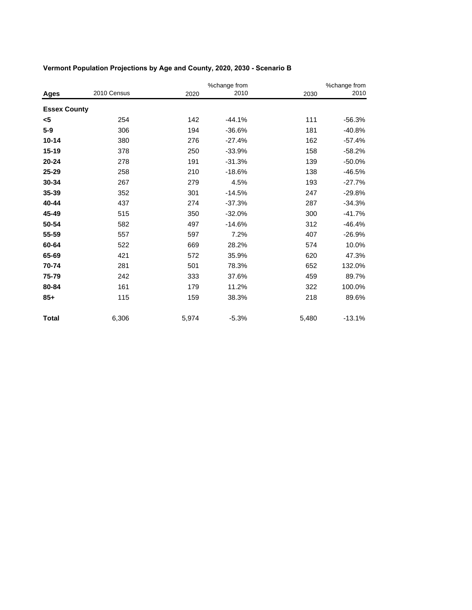|                     |             |       | %change from |       | %change from |  |
|---------------------|-------------|-------|--------------|-------|--------------|--|
| Ages                | 2010 Census | 2020  | 2010         | 2030  | 2010         |  |
| <b>Essex County</b> |             |       |              |       |              |  |
| $5$                 | 254         | 142   | $-44.1%$     | 111   | $-56.3%$     |  |
| $5-9$               | 306         | 194   | $-36.6%$     | 181   | $-40.8%$     |  |
| $10 - 14$           | 380         | 276   | $-27.4%$     | 162   | $-57.4%$     |  |
| 15-19               | 378         | 250   | $-33.9%$     | 158   | $-58.2%$     |  |
| $20 - 24$           | 278         | 191   | $-31.3%$     | 139   | $-50.0%$     |  |
| 25-29               | 258         | 210   | $-18.6%$     | 138   | $-46.5%$     |  |
| 30-34               | 267         | 279   | 4.5%         | 193   | $-27.7%$     |  |
| 35-39               | 352         | 301   | $-14.5%$     | 247   | $-29.8%$     |  |
| 40-44               | 437         | 274   | $-37.3%$     | 287   | $-34.3%$     |  |
| 45-49               | 515         | 350   | $-32.0%$     | 300   | $-41.7%$     |  |
| 50-54               | 582         | 497   | $-14.6%$     | 312   | $-46.4%$     |  |
| 55-59               | 557         | 597   | 7.2%         | 407   | $-26.9%$     |  |
| 60-64               | 522         | 669   | 28.2%        | 574   | 10.0%        |  |
| 65-69               | 421         | 572   | 35.9%        | 620   | 47.3%        |  |
| 70-74               | 281         | 501   | 78.3%        | 652   | 132.0%       |  |
| 75-79               | 242         | 333   | 37.6%        | 459   | 89.7%        |  |
| 80-84               | 161         | 179   | 11.2%        | 322   | 100.0%       |  |
| $85+$               | 115         | 159   | 38.3%        | 218   | 89.6%        |  |
| <b>Total</b>        | 6,306       | 5,974 | $-5.3%$      | 5,480 | $-13.1%$     |  |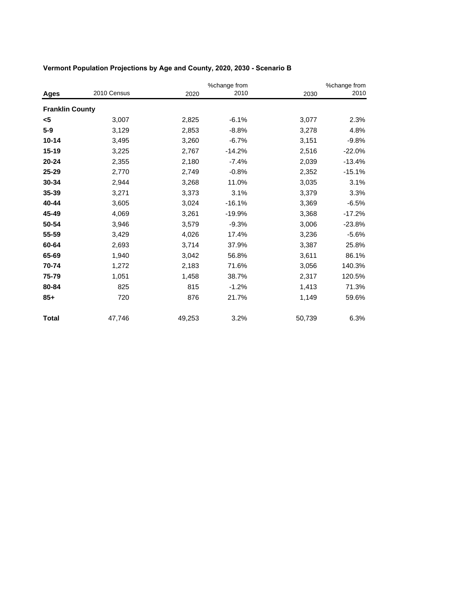|                        |             |        | %change from |        | %change from |
|------------------------|-------------|--------|--------------|--------|--------------|
| Ages                   | 2010 Census | 2020   | 2010         | 2030   | 2010         |
| <b>Franklin County</b> |             |        |              |        |              |
| <5                     | 3,007       | 2,825  | $-6.1%$      | 3,077  | 2.3%         |
| $5-9$                  | 3,129       | 2,853  | $-8.8%$      | 3,278  | 4.8%         |
| $10 - 14$              | 3,495       | 3,260  | $-6.7%$      | 3,151  | $-9.8%$      |
| $15 - 19$              | 3,225       | 2,767  | $-14.2%$     | 2,516  | $-22.0%$     |
| $20 - 24$              | 2,355       | 2,180  | $-7.4%$      | 2,039  | $-13.4%$     |
| 25-29                  | 2,770       | 2,749  | $-0.8%$      | 2,352  | $-15.1%$     |
| 30-34                  | 2,944       | 3,268  | 11.0%        | 3,035  | 3.1%         |
| 35-39                  | 3,271       | 3,373  | 3.1%         | 3,379  | 3.3%         |
| 40-44                  | 3,605       | 3,024  | $-16.1%$     | 3,369  | $-6.5%$      |
| 45-49                  | 4,069       | 3,261  | $-19.9%$     | 3,368  | $-17.2%$     |
| 50-54                  | 3,946       | 3,579  | $-9.3%$      | 3,006  | $-23.8%$     |
| 55-59                  | 3,429       | 4,026  | 17.4%        | 3,236  | $-5.6%$      |
| 60-64                  | 2,693       | 3,714  | 37.9%        | 3,387  | 25.8%        |
| 65-69                  | 1,940       | 3,042  | 56.8%        | 3,611  | 86.1%        |
| 70-74                  | 1,272       | 2,183  | 71.6%        | 3,056  | 140.3%       |
| 75-79                  | 1,051       | 1,458  | 38.7%        | 2,317  | 120.5%       |
| 80-84                  | 825         | 815    | $-1.2%$      | 1,413  | 71.3%        |
| $85+$                  | 720         | 876    | 21.7%        | 1,149  | 59.6%        |
| <b>Total</b>           | 47,746      | 49,253 | 3.2%         | 50,739 | 6.3%         |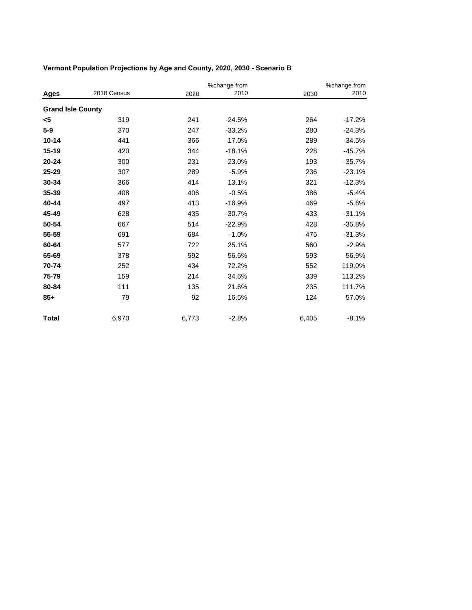|                          |             | %change from |          | %change from |          |
|--------------------------|-------------|--------------|----------|--------------|----------|
| Ages                     | 2010 Census | 2020         | 2010     | 2030         | 2010     |
| <b>Grand Isle County</b> |             |              |          |              |          |
| $5$                      | 319         | 241          | $-24.5%$ | 264          | $-17.2%$ |
| $5-9$                    | 370         | 247          | $-33.2%$ | 280          | $-24.3%$ |
| $10 - 14$                | 441         | 366          | $-17.0%$ | 289          | $-34.5%$ |
| 15-19                    | 420         | 344          | $-18.1%$ | 228          | $-45.7%$ |
| 20-24                    | 300         | 231          | $-23.0%$ | 193          | $-35.7%$ |
| 25-29                    | 307         | 289          | $-5.9%$  | 236          | $-23.1%$ |
| 30-34                    | 366         | 414          | 13.1%    | 321          | $-12.3%$ |
| 35-39                    | 408         | 406          | $-0.5%$  | 386          | $-5.4%$  |
| 40-44                    | 497         | 413          | $-16.9%$ | 469          | $-5.6%$  |
| 45-49                    | 628         | 435          | $-30.7%$ | 433          | $-31.1%$ |
| 50-54                    | 667         | 514          | $-22.9%$ | 428          | $-35.8%$ |
| 55-59                    | 691         | 684          | $-1.0%$  | 475          | $-31.3%$ |
| 60-64                    | 577         | 722          | 25.1%    | 560          | $-2.9%$  |
| 65-69                    | 378         | 592          | 56.6%    | 593          | 56.9%    |
| 70-74                    | 252         | 434          | 72.2%    | 552          | 119.0%   |
| 75-79                    | 159         | 214          | 34.6%    | 339          | 113.2%   |
| 80-84                    | 111         | 135          | 21.6%    | 235          | 111.7%   |
| $85+$                    | 79          | 92           | 16.5%    | 124          | 57.0%    |
| <b>Total</b>             | 6,970       | 6,773        | $-2.8%$  | 6,405        | $-8.1%$  |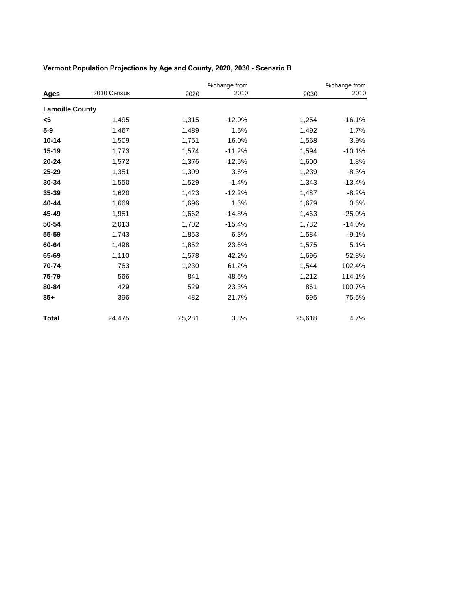|                        |             |        | %change from |        | %change from |
|------------------------|-------------|--------|--------------|--------|--------------|
| Ages                   | 2010 Census | 2020   | 2010         | 2030   | 2010         |
| <b>Lamoille County</b> |             |        |              |        |              |
| <5                     | 1,495       | 1,315  | $-12.0%$     | 1,254  | $-16.1%$     |
| $5-9$                  | 1,467       | 1,489  | 1.5%         | 1,492  | 1.7%         |
| $10 - 14$              | 1,509       | 1,751  | 16.0%        | 1,568  | 3.9%         |
| 15-19                  | 1,773       | 1,574  | $-11.2%$     | 1,594  | $-10.1%$     |
| $20 - 24$              | 1,572       | 1,376  | $-12.5%$     | 1,600  | 1.8%         |
| 25-29                  | 1,351       | 1,399  | 3.6%         | 1,239  | $-8.3%$      |
| 30-34                  | 1,550       | 1,529  | $-1.4%$      | 1,343  | $-13.4%$     |
| 35-39                  | 1,620       | 1,423  | $-12.2%$     | 1,487  | $-8.2%$      |
| 40-44                  | 1,669       | 1,696  | 1.6%         | 1,679  | 0.6%         |
| 45-49                  | 1,951       | 1,662  | $-14.8%$     | 1,463  | $-25.0%$     |
| 50-54                  | 2,013       | 1,702  | $-15.4%$     | 1,732  | $-14.0%$     |
| 55-59                  | 1,743       | 1,853  | 6.3%         | 1,584  | $-9.1%$      |
| 60-64                  | 1,498       | 1,852  | 23.6%        | 1,575  | 5.1%         |
| 65-69                  | 1,110       | 1,578  | 42.2%        | 1,696  | 52.8%        |
| 70-74                  | 763         | 1,230  | 61.2%        | 1,544  | 102.4%       |
| 75-79                  | 566         | 841    | 48.6%        | 1,212  | 114.1%       |
| 80-84                  | 429         | 529    | 23.3%        | 861    | 100.7%       |
| $85+$                  | 396         | 482    | 21.7%        | 695    | 75.5%        |
| <b>Total</b>           | 24,475      | 25,281 | 3.3%         | 25,618 | 4.7%         |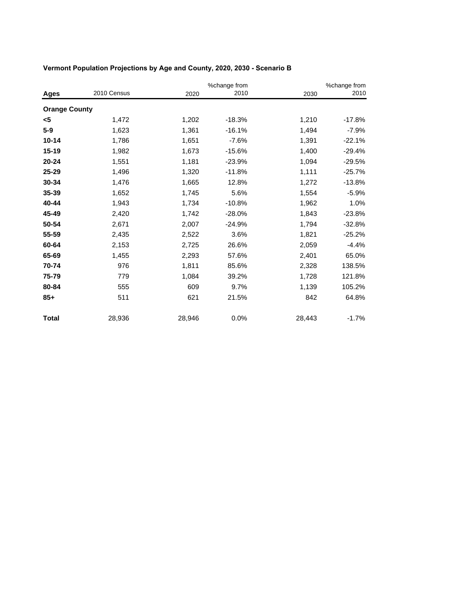|                      |             |        | %change from |        | %change from |
|----------------------|-------------|--------|--------------|--------|--------------|
| Ages                 | 2010 Census | 2020   | 2010         | 2030   | 2010         |
| <b>Orange County</b> |             |        |              |        |              |
| <5                   | 1,472       | 1,202  | $-18.3%$     | 1,210  | $-17.8%$     |
| $5-9$                | 1,623       | 1,361  | $-16.1%$     | 1,494  | $-7.9%$      |
| $10 - 14$            | 1,786       | 1,651  | $-7.6%$      | 1,391  | $-22.1%$     |
| $15 - 19$            | 1,982       | 1,673  | $-15.6%$     | 1,400  | $-29.4%$     |
| $20 - 24$            | 1,551       | 1,181  | $-23.9%$     | 1,094  | $-29.5%$     |
| 25-29                | 1,496       | 1,320  | $-11.8%$     | 1,111  | $-25.7%$     |
| 30-34                | 1,476       | 1,665  | 12.8%        | 1,272  | $-13.8%$     |
| 35-39                | 1,652       | 1,745  | 5.6%         | 1,554  | $-5.9%$      |
| 40-44                | 1,943       | 1,734  | $-10.8%$     | 1,962  | 1.0%         |
| 45-49                | 2,420       | 1,742  | $-28.0%$     | 1,843  | $-23.8%$     |
| 50-54                | 2,671       | 2,007  | $-24.9%$     | 1,794  | $-32.8%$     |
| 55-59                | 2,435       | 2,522  | 3.6%         | 1,821  | $-25.2%$     |
| 60-64                | 2,153       | 2,725  | 26.6%        | 2,059  | $-4.4%$      |
| 65-69                | 1,455       | 2,293  | 57.6%        | 2,401  | 65.0%        |
| 70-74                | 976         | 1,811  | 85.6%        | 2,328  | 138.5%       |
| 75-79                | 779         | 1,084  | 39.2%        | 1,728  | 121.8%       |
| 80-84                | 555         | 609    | 9.7%         | 1,139  | 105.2%       |
| $85+$                | 511         | 621    | 21.5%        | 842    | 64.8%        |
| <b>Total</b>         | 28,936      | 28,946 | 0.0%         | 28,443 | $-1.7%$      |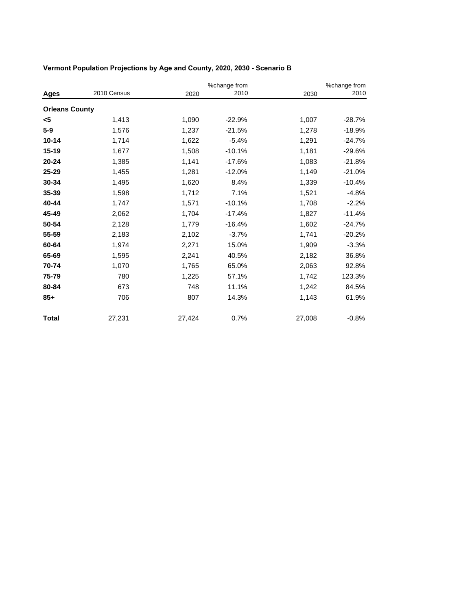|                       |             |        | %change from |        | %change from |
|-----------------------|-------------|--------|--------------|--------|--------------|
| Ages                  | 2010 Census | 2020   | 2010         | 2030   | 2010         |
| <b>Orleans County</b> |             |        |              |        |              |
| <5                    | 1,413       | 1,090  | $-22.9%$     | 1,007  | $-28.7%$     |
| $5-9$                 | 1,576       | 1,237  | $-21.5%$     | 1,278  | $-18.9%$     |
| $10 - 14$             | 1,714       | 1,622  | $-5.4%$      | 1,291  | $-24.7%$     |
| $15 - 19$             | 1,677       | 1,508  | $-10.1%$     | 1,181  | $-29.6%$     |
| $20 - 24$             | 1,385       | 1,141  | $-17.6%$     | 1,083  | $-21.8%$     |
| 25-29                 | 1,455       | 1,281  | $-12.0%$     | 1,149  | $-21.0%$     |
| 30-34                 | 1,495       | 1,620  | 8.4%         | 1,339  | $-10.4%$     |
| 35-39                 | 1,598       | 1,712  | 7.1%         | 1,521  | $-4.8%$      |
| 40-44                 | 1,747       | 1,571  | $-10.1%$     | 1,708  | $-2.2%$      |
| 45-49                 | 2,062       | 1,704  | $-17.4%$     | 1,827  | $-11.4%$     |
| 50-54                 | 2,128       | 1,779  | $-16.4%$     | 1,602  | $-24.7%$     |
| 55-59                 | 2,183       | 2,102  | $-3.7%$      | 1,741  | $-20.2%$     |
| 60-64                 | 1,974       | 2,271  | 15.0%        | 1,909  | $-3.3%$      |
| 65-69                 | 1,595       | 2,241  | 40.5%        | 2,182  | 36.8%        |
| 70-74                 | 1,070       | 1,765  | 65.0%        | 2,063  | 92.8%        |
| 75-79                 | 780         | 1,225  | 57.1%        | 1,742  | 123.3%       |
| 80-84                 | 673         | 748    | 11.1%        | 1,242  | 84.5%        |
| $85+$                 | 706         | 807    | 14.3%        | 1,143  | 61.9%        |
| <b>Total</b>          | 27,231      | 27,424 | 0.7%         | 27,008 | $-0.8%$      |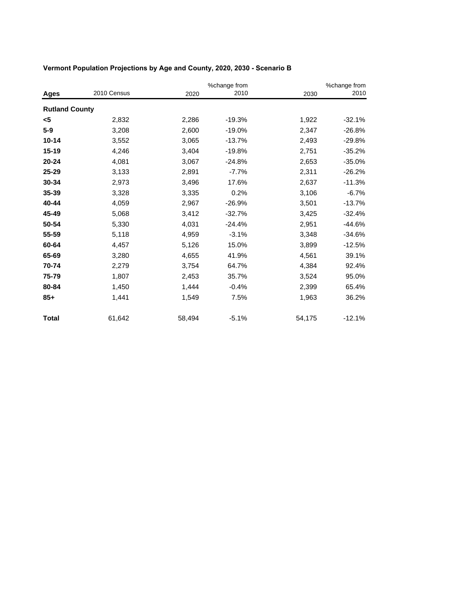|                       |             |        | %change from |        | %change from |
|-----------------------|-------------|--------|--------------|--------|--------------|
| Ages                  | 2010 Census | 2020   | 2010         | 2030   | 2010         |
| <b>Rutland County</b> |             |        |              |        |              |
| <5                    | 2,832       | 2,286  | $-19.3%$     | 1,922  | $-32.1%$     |
| $5-9$                 | 3,208       | 2,600  | $-19.0%$     | 2,347  | $-26.8%$     |
| $10 - 14$             | 3,552       | 3,065  | $-13.7%$     | 2,493  | $-29.8%$     |
| $15 - 19$             | 4,246       | 3,404  | $-19.8%$     | 2,751  | $-35.2%$     |
| $20 - 24$             | 4,081       | 3,067  | $-24.8%$     | 2,653  | $-35.0%$     |
| 25-29                 | 3,133       | 2,891  | $-7.7%$      | 2,311  | $-26.2%$     |
| 30-34                 | 2,973       | 3,496  | 17.6%        | 2,637  | $-11.3%$     |
| 35-39                 | 3,328       | 3,335  | 0.2%         | 3,106  | $-6.7%$      |
| 40-44                 | 4,059       | 2,967  | $-26.9%$     | 3,501  | $-13.7%$     |
| 45-49                 | 5,068       | 3,412  | $-32.7%$     | 3,425  | $-32.4%$     |
| 50-54                 | 5,330       | 4,031  | $-24.4%$     | 2,951  | $-44.6%$     |
| 55-59                 | 5,118       | 4,959  | $-3.1%$      | 3,348  | $-34.6%$     |
| 60-64                 | 4,457       | 5,126  | 15.0%        | 3,899  | $-12.5%$     |
| 65-69                 | 3,280       | 4,655  | 41.9%        | 4,561  | 39.1%        |
| 70-74                 | 2,279       | 3,754  | 64.7%        | 4,384  | 92.4%        |
| 75-79                 | 1,807       | 2,453  | 35.7%        | 3,524  | 95.0%        |
| 80-84                 | 1,450       | 1,444  | $-0.4%$      | 2,399  | 65.4%        |
| $85+$                 | 1,441       | 1,549  | 7.5%         | 1,963  | 36.2%        |
| <b>Total</b>          | 61,642      | 58,494 | $-5.1%$      | 54,175 | $-12.1%$     |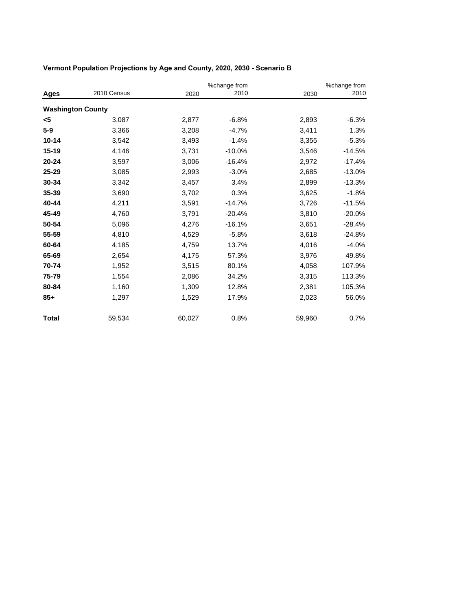|              |                          | %change from |          | %change from |          |  |
|--------------|--------------------------|--------------|----------|--------------|----------|--|
| Ages         | 2010 Census              | 2020         | 2010     | 2030         | 2010     |  |
|              | <b>Washington County</b> |              |          |              |          |  |
| <5           | 3,087                    | 2,877        | $-6.8%$  | 2,893        | $-6.3%$  |  |
| $5-9$        | 3,366                    | 3,208        | $-4.7%$  | 3,411        | 1.3%     |  |
| 10-14        | 3,542                    | 3,493        | $-1.4%$  | 3,355        | $-5.3%$  |  |
| $15 - 19$    | 4,146                    | 3,731        | $-10.0%$ | 3,546        | $-14.5%$ |  |
| $20 - 24$    | 3,597                    | 3,006        | $-16.4%$ | 2,972        | $-17.4%$ |  |
| 25-29        | 3,085                    | 2,993        | $-3.0%$  | 2,685        | $-13.0%$ |  |
| 30-34        | 3,342                    | 3,457        | 3.4%     | 2,899        | $-13.3%$ |  |
| 35-39        | 3,690                    | 3,702        | 0.3%     | 3,625        | $-1.8%$  |  |
| 40-44        | 4,211                    | 3,591        | $-14.7%$ | 3,726        | $-11.5%$ |  |
| 45-49        | 4,760                    | 3,791        | $-20.4%$ | 3,810        | $-20.0%$ |  |
| 50-54        | 5,096                    | 4,276        | $-16.1%$ | 3,651        | $-28.4%$ |  |
| 55-59        | 4,810                    | 4,529        | $-5.8%$  | 3,618        | $-24.8%$ |  |
| 60-64        | 4,185                    | 4,759        | 13.7%    | 4,016        | $-4.0%$  |  |
| 65-69        | 2,654                    | 4,175        | 57.3%    | 3,976        | 49.8%    |  |
| 70-74        | 1,952                    | 3,515        | 80.1%    | 4,058        | 107.9%   |  |
| 75-79        | 1,554                    | 2,086        | 34.2%    | 3,315        | 113.3%   |  |
| 80-84        | 1,160                    | 1,309        | 12.8%    | 2,381        | 105.3%   |  |
| $85+$        | 1,297                    | 1,529        | 17.9%    | 2,023        | 56.0%    |  |
| <b>Total</b> | 59,534                   | 60,027       | 0.8%     | 59,960       | 0.7%     |  |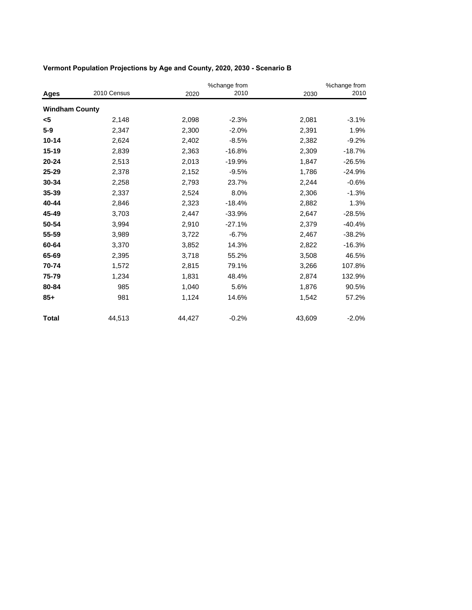|                       |             |        | %change from |        | %change from |
|-----------------------|-------------|--------|--------------|--------|--------------|
| Ages                  | 2010 Census | 2020   | 2010         | 2030   | 2010         |
| <b>Windham County</b> |             |        |              |        |              |
| <5                    | 2,148       | 2,098  | $-2.3%$      | 2,081  | $-3.1%$      |
| $5-9$                 | 2,347       | 2,300  | $-2.0%$      | 2,391  | 1.9%         |
| $10 - 14$             | 2,624       | 2,402  | $-8.5%$      | 2,382  | $-9.2%$      |
| $15 - 19$             | 2,839       | 2,363  | $-16.8%$     | 2,309  | $-18.7%$     |
| $20 - 24$             | 2,513       | 2,013  | $-19.9%$     | 1,847  | $-26.5%$     |
| 25-29                 | 2,378       | 2,152  | $-9.5%$      | 1,786  | $-24.9%$     |
| 30-34                 | 2,258       | 2,793  | 23.7%        | 2,244  | $-0.6%$      |
| 35-39                 | 2,337       | 2,524  | 8.0%         | 2,306  | $-1.3%$      |
| 40-44                 | 2,846       | 2,323  | $-18.4%$     | 2,882  | 1.3%         |
| 45-49                 | 3,703       | 2,447  | $-33.9%$     | 2,647  | $-28.5%$     |
| 50-54                 | 3,994       | 2,910  | $-27.1%$     | 2,379  | $-40.4%$     |
| 55-59                 | 3,989       | 3,722  | $-6.7%$      | 2,467  | $-38.2%$     |
| 60-64                 | 3,370       | 3,852  | 14.3%        | 2,822  | $-16.3%$     |
| 65-69                 | 2,395       | 3,718  | 55.2%        | 3,508  | 46.5%        |
| 70-74                 | 1,572       | 2,815  | 79.1%        | 3,266  | 107.8%       |
| 75-79                 | 1,234       | 1,831  | 48.4%        | 2,874  | 132.9%       |
| 80-84                 | 985         | 1,040  | 5.6%         | 1,876  | 90.5%        |
| $85+$                 | 981         | 1,124  | 14.6%        | 1,542  | 57.2%        |
| Total                 | 44,513      | 44,427 | $-0.2%$      | 43,609 | $-2.0%$      |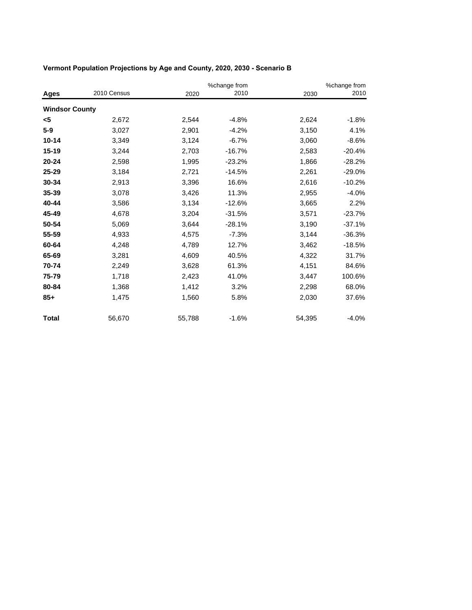|                       |             | %change from |          | %change from |          |  |
|-----------------------|-------------|--------------|----------|--------------|----------|--|
| Ages                  | 2010 Census | 2020         | 2010     | 2030         | 2010     |  |
| <b>Windsor County</b> |             |              |          |              |          |  |
| <5                    | 2,672       | 2,544        | $-4.8%$  | 2,624        | $-1.8%$  |  |
| $5-9$                 | 3,027       | 2,901        | $-4.2%$  | 3,150        | 4.1%     |  |
| $10 - 14$             | 3,349       | 3,124        | $-6.7%$  | 3,060        | $-8.6%$  |  |
| 15-19                 | 3,244       | 2,703        | $-16.7%$ | 2,583        | $-20.4%$ |  |
| $20 - 24$             | 2,598       | 1,995        | $-23.2%$ | 1,866        | $-28.2%$ |  |
| 25-29                 | 3,184       | 2,721        | $-14.5%$ | 2,261        | $-29.0%$ |  |
| 30-34                 | 2,913       | 3,396        | 16.6%    | 2,616        | $-10.2%$ |  |
| 35-39                 | 3,078       | 3,426        | 11.3%    | 2,955        | $-4.0%$  |  |
| 40-44                 | 3,586       | 3,134        | $-12.6%$ | 3,665        | 2.2%     |  |
| 45-49                 | 4,678       | 3,204        | $-31.5%$ | 3,571        | $-23.7%$ |  |
| 50-54                 | 5,069       | 3,644        | $-28.1%$ | 3,190        | $-37.1%$ |  |
| 55-59                 | 4,933       | 4,575        | $-7.3%$  | 3,144        | $-36.3%$ |  |
| 60-64                 | 4,248       | 4,789        | 12.7%    | 3,462        | $-18.5%$ |  |
| 65-69                 | 3,281       | 4,609        | 40.5%    | 4,322        | 31.7%    |  |
| 70-74                 | 2,249       | 3,628        | 61.3%    | 4,151        | 84.6%    |  |
| 75-79                 | 1,718       | 2,423        | 41.0%    | 3,447        | 100.6%   |  |
| 80-84                 | 1,368       | 1,412        | 3.2%     | 2,298        | 68.0%    |  |
| $85+$                 | 1,475       | 1,560        | 5.8%     | 2,030        | 37.6%    |  |
| <b>Total</b>          | 56,670      | 55,788       | $-1.6%$  | 54,395       | $-4.0%$  |  |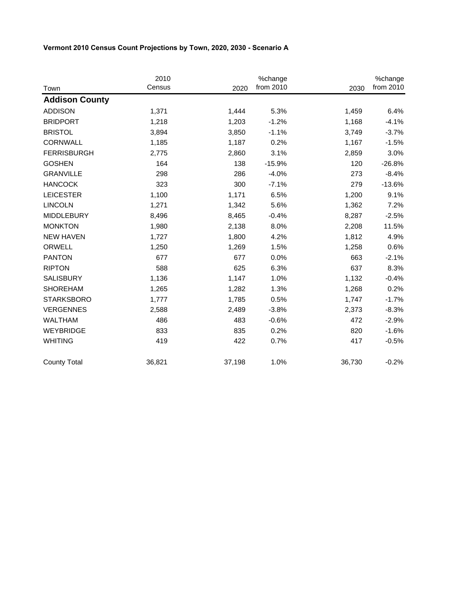|                       | 2010   |        | %change   |        | %change   |
|-----------------------|--------|--------|-----------|--------|-----------|
| Town                  | Census | 2020   | from 2010 | 2030   | from 2010 |
| <b>Addison County</b> |        |        |           |        |           |
| <b>ADDISON</b>        | 1,371  | 1,444  | 5.3%      | 1,459  | 6.4%      |
| <b>BRIDPORT</b>       | 1,218  | 1,203  | $-1.2%$   | 1,168  | $-4.1%$   |
| <b>BRISTOL</b>        | 3,894  | 3,850  | $-1.1%$   | 3,749  | $-3.7%$   |
| CORNWALL              | 1,185  | 1,187  | 0.2%      | 1,167  | $-1.5%$   |
| <b>FERRISBURGH</b>    | 2,775  | 2,860  | 3.1%      | 2,859  | 3.0%      |
| <b>GOSHEN</b>         | 164    | 138    | $-15.9%$  | 120    | $-26.8%$  |
| <b>GRANVILLE</b>      | 298    | 286    | $-4.0%$   | 273    | $-8.4%$   |
| <b>HANCOCK</b>        | 323    | 300    | $-7.1%$   | 279    | $-13.6%$  |
| <b>LEICESTER</b>      | 1,100  | 1,171  | 6.5%      | 1,200  | 9.1%      |
| <b>LINCOLN</b>        | 1,271  | 1,342  | 5.6%      | 1,362  | 7.2%      |
| <b>MIDDLEBURY</b>     | 8,496  | 8,465  | $-0.4%$   | 8,287  | $-2.5%$   |
| <b>MONKTON</b>        | 1,980  | 2,138  | 8.0%      | 2,208  | 11.5%     |
| <b>NEW HAVEN</b>      | 1,727  | 1,800  | 4.2%      | 1,812  | 4.9%      |
| ORWELL                | 1,250  | 1,269  | 1.5%      | 1,258  | 0.6%      |
| <b>PANTON</b>         | 677    | 677    | 0.0%      | 663    | $-2.1%$   |
| <b>RIPTON</b>         | 588    | 625    | 6.3%      | 637    | 8.3%      |
| <b>SALISBURY</b>      | 1,136  | 1,147  | 1.0%      | 1,132  | $-0.4%$   |
| <b>SHOREHAM</b>       | 1,265  | 1,282  | 1.3%      | 1,268  | 0.2%      |
| <b>STARKSBORO</b>     | 1,777  | 1,785  | 0.5%      | 1,747  | $-1.7%$   |
| <b>VERGENNES</b>      | 2,588  | 2,489  | $-3.8%$   | 2,373  | $-8.3%$   |
| <b>WALTHAM</b>        | 486    | 483    | $-0.6%$   | 472    | $-2.9%$   |
| WEYBRIDGE             | 833    | 835    | 0.2%      | 820    | $-1.6%$   |
| <b>WHITING</b>        | 419    | 422    | 0.7%      | 417    | $-0.5%$   |
| <b>County Total</b>   | 36,821 | 37,198 | 1.0%      | 36,730 | $-0.2%$   |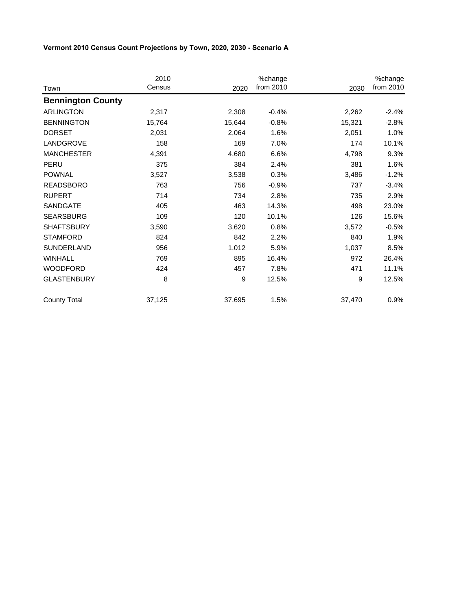|                          | 2010   |        | %change   |        | %change   |
|--------------------------|--------|--------|-----------|--------|-----------|
| Town                     | Census | 2020   | from 2010 | 2030   | from 2010 |
| <b>Bennington County</b> |        |        |           |        |           |
| <b>ARLINGTON</b>         | 2,317  | 2,308  | $-0.4%$   | 2,262  | $-2.4%$   |
| <b>BENNINGTON</b>        | 15,764 | 15,644 | $-0.8%$   | 15,321 | $-2.8%$   |
| <b>DORSET</b>            | 2,031  | 2,064  | 1.6%      | 2,051  | 1.0%      |
| LANDGROVE                | 158    | 169    | 7.0%      | 174    | 10.1%     |
| <b>MANCHESTER</b>        | 4,391  | 4,680  | 6.6%      | 4,798  | 9.3%      |
| PERU                     | 375    | 384    | 2.4%      | 381    | 1.6%      |
| <b>POWNAL</b>            | 3,527  | 3,538  | 0.3%      | 3,486  | $-1.2%$   |
| <b>READSBORO</b>         | 763    | 756    | $-0.9%$   | 737    | $-3.4%$   |
| <b>RUPERT</b>            | 714    | 734    | 2.8%      | 735    | 2.9%      |
| SANDGATE                 | 405    | 463    | 14.3%     | 498    | 23.0%     |
| <b>SEARSBURG</b>         | 109    | 120    | 10.1%     | 126    | 15.6%     |
| <b>SHAFTSBURY</b>        | 3,590  | 3,620  | 0.8%      | 3,572  | $-0.5%$   |
| <b>STAMFORD</b>          | 824    | 842    | 2.2%      | 840    | 1.9%      |
| SUNDERLAND               | 956    | 1,012  | 5.9%      | 1,037  | 8.5%      |
| <b>WINHALL</b>           | 769    | 895    | 16.4%     | 972    | 26.4%     |
| <b>WOODFORD</b>          | 424    | 457    | 7.8%      | 471    | 11.1%     |
| <b>GLASTENBURY</b>       | 8      | 9      | 12.5%     | 9      | 12.5%     |
| <b>County Total</b>      | 37,125 | 37,695 | 1.5%      | 37,470 | 0.9%      |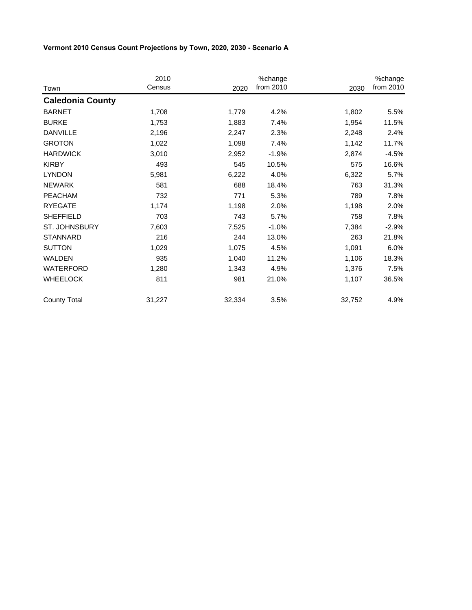|                         | 2010   |        | %change   |        | %change   |
|-------------------------|--------|--------|-----------|--------|-----------|
| Town                    | Census | 2020   | from 2010 | 2030   | from 2010 |
| <b>Caledonia County</b> |        |        |           |        |           |
| <b>BARNET</b>           | 1,708  | 1,779  | 4.2%      | 1,802  | 5.5%      |
| <b>BURKE</b>            | 1,753  | 1,883  | 7.4%      | 1,954  | 11.5%     |
| <b>DANVILLE</b>         | 2,196  | 2,247  | 2.3%      | 2,248  | 2.4%      |
| <b>GROTON</b>           | 1,022  | 1,098  | 7.4%      | 1,142  | 11.7%     |
| <b>HARDWICK</b>         | 3,010  | 2,952  | $-1.9%$   | 2,874  | $-4.5%$   |
| <b>KIRBY</b>            | 493    | 545    | 10.5%     | 575    | 16.6%     |
| <b>LYNDON</b>           | 5,981  | 6,222  | 4.0%      | 6,322  | 5.7%      |
| <b>NEWARK</b>           | 581    | 688    | 18.4%     | 763    | 31.3%     |
| <b>PEACHAM</b>          | 732    | 771    | 5.3%      | 789    | 7.8%      |
| <b>RYEGATE</b>          | 1,174  | 1,198  | 2.0%      | 1,198  | 2.0%      |
| <b>SHEFFIELD</b>        | 703    | 743    | 5.7%      | 758    | 7.8%      |
| ST. JOHNSBURY           | 7,603  | 7,525  | $-1.0%$   | 7,384  | $-2.9%$   |
| <b>STANNARD</b>         | 216    | 244    | 13.0%     | 263    | 21.8%     |
| <b>SUTTON</b>           | 1,029  | 1,075  | 4.5%      | 1,091  | 6.0%      |
| <b>WALDEN</b>           | 935    | 1,040  | 11.2%     | 1,106  | 18.3%     |
| WATERFORD               | 1,280  | 1,343  | 4.9%      | 1,376  | 7.5%      |
| <b>WHEELOCK</b>         | 811    | 981    | 21.0%     | 1,107  | 36.5%     |
| <b>County Total</b>     | 31,227 | 32,334 | 3.5%      | 32,752 | 4.9%      |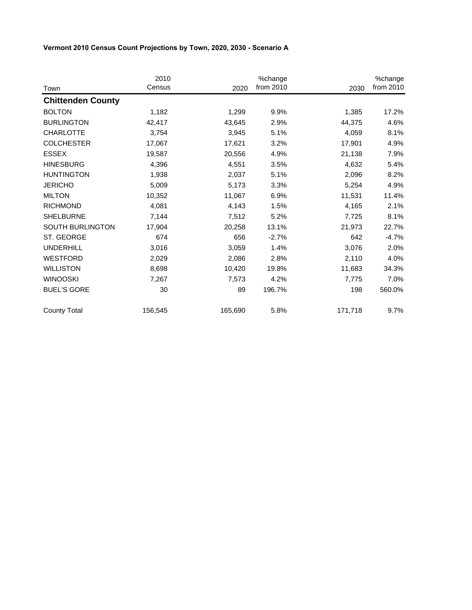|                          | 2010<br>Census |         | %change<br>from 2010 |         | %change<br>from 2010 |
|--------------------------|----------------|---------|----------------------|---------|----------------------|
| Town                     |                | 2020    |                      | 2030    |                      |
| <b>Chittenden County</b> |                |         |                      |         |                      |
| <b>BOLTON</b>            | 1,182          | 1,299   | 9.9%                 | 1,385   | 17.2%                |
| <b>BURLINGTON</b>        | 42,417         | 43,645  | 2.9%                 | 44,375  | 4.6%                 |
| <b>CHARLOTTE</b>         | 3,754          | 3,945   | 5.1%                 | 4,059   | 8.1%                 |
| <b>COLCHESTER</b>        | 17,067         | 17,621  | 3.2%                 | 17,901  | 4.9%                 |
| <b>ESSEX</b>             | 19,587         | 20,556  | 4.9%                 | 21,138  | 7.9%                 |
| <b>HINESBURG</b>         | 4,396          | 4,551   | 3.5%                 | 4,632   | 5.4%                 |
| <b>HUNTINGTON</b>        | 1,938          | 2,037   | 5.1%                 | 2,096   | 8.2%                 |
| <b>JERICHO</b>           | 5,009          | 5,173   | 3.3%                 | 5,254   | 4.9%                 |
| <b>MILTON</b>            | 10,352         | 11,067  | 6.9%                 | 11,531  | 11.4%                |
| <b>RICHMOND</b>          | 4,081          | 4,143   | 1.5%                 | 4,165   | 2.1%                 |
| <b>SHELBURNE</b>         | 7,144          | 7,512   | 5.2%                 | 7,725   | 8.1%                 |
| SOUTH BURLINGTON         | 17,904         | 20,258  | 13.1%                | 21,973  | 22.7%                |
| ST. GEORGE               | 674            | 656     | $-2.7%$              | 642     | $-4.7%$              |
| <b>UNDERHILL</b>         | 3,016          | 3,059   | 1.4%                 | 3,076   | 2.0%                 |
| <b>WESTFORD</b>          | 2,029          | 2,086   | 2.8%                 | 2,110   | 4.0%                 |
| <b>WILLISTON</b>         | 8,698          | 10,420  | 19.8%                | 11,683  | 34.3%                |
| <b>WINOOSKI</b>          | 7,267          | 7,573   | 4.2%                 | 7,775   | 7.0%                 |
| <b>BUEL'S GORE</b>       | 30             | 89      | 196.7%               | 198     | 560.0%               |
| <b>County Total</b>      | 156,545        | 165,690 | 5.8%                 | 171,718 | 9.7%                 |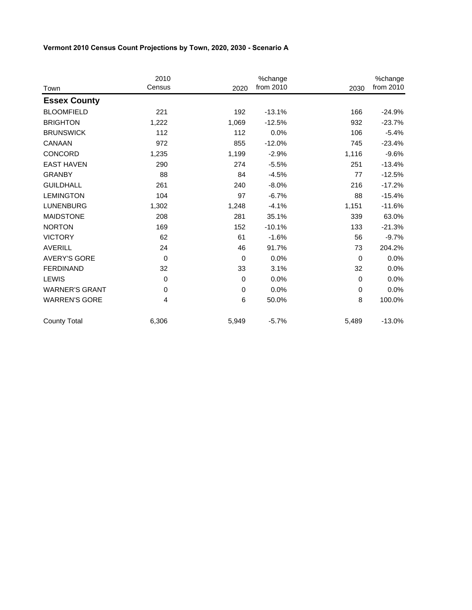|                       | 2010           |             | %change   |             | %change   |
|-----------------------|----------------|-------------|-----------|-------------|-----------|
| Town                  | Census         | 2020        | from 2010 | 2030        | from 2010 |
| <b>Essex County</b>   |                |             |           |             |           |
| <b>BLOOMFIELD</b>     | 221            | 192         | $-13.1%$  | 166         | $-24.9%$  |
| <b>BRIGHTON</b>       | 1,222          | 1,069       | $-12.5%$  | 932         | $-23.7%$  |
| <b>BRUNSWICK</b>      | 112            | 112         | 0.0%      | 106         | $-5.4%$   |
| CANAAN                | 972            | 855         | $-12.0%$  | 745         | $-23.4%$  |
| CONCORD               | 1,235          | 1,199       | $-2.9%$   | 1,116       | $-9.6%$   |
| <b>EAST HAVEN</b>     | 290            | 274         | $-5.5%$   | 251         | $-13.4%$  |
| <b>GRANBY</b>         | 88             | 84          | $-4.5%$   | 77          | $-12.5%$  |
| <b>GUILDHALL</b>      | 261            | 240         | $-8.0%$   | 216         | $-17.2%$  |
| <b>LEMINGTON</b>      | 104            | 97          | $-6.7%$   | 88          | $-15.4%$  |
| <b>LUNENBURG</b>      | 1,302          | 1,248       | $-4.1%$   | 1,151       | $-11.6%$  |
| <b>MAIDSTONE</b>      | 208            | 281         | 35.1%     | 339         | 63.0%     |
| <b>NORTON</b>         | 169            | 152         | $-10.1%$  | 133         | $-21.3%$  |
| <b>VICTORY</b>        | 62             | 61          | $-1.6%$   | 56          | $-9.7%$   |
| <b>AVERILL</b>        | 24             | 46          | 91.7%     | 73          | 204.2%    |
| <b>AVERY'S GORE</b>   | $\overline{0}$ | $\mathbf 0$ | 0.0%      | $\mathbf 0$ | 0.0%      |
| <b>FERDINAND</b>      | 32             | 33          | 3.1%      | 32          | 0.0%      |
| <b>LEWIS</b>          | $\Omega$       | $\mathbf 0$ | 0.0%      | $\mathbf 0$ | 0.0%      |
| <b>WARNER'S GRANT</b> | 0              | $\mathbf 0$ | 0.0%      | $\mathbf 0$ | 0.0%      |
| <b>WARREN'S GORE</b>  | 4              | 6           | 50.0%     | 8           | 100.0%    |
| <b>County Total</b>   | 6,306          | 5,949       | $-5.7%$   | 5,489       | $-13.0%$  |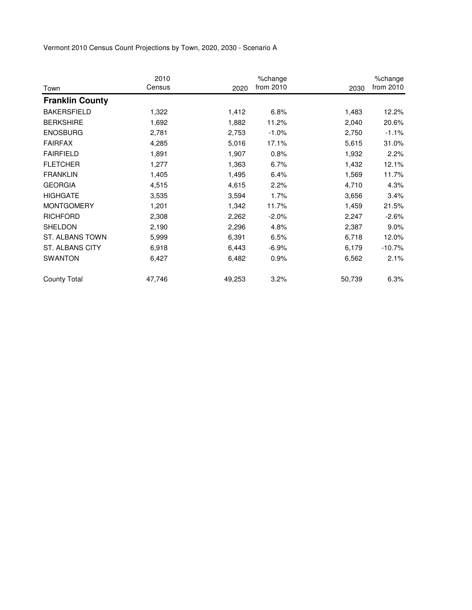|                        | 2010   |        | %change   |        | %change   |
|------------------------|--------|--------|-----------|--------|-----------|
| Town                   | Census | 2020   | from 2010 | 2030   | from 2010 |
| <b>Franklin County</b> |        |        |           |        |           |
| <b>BAKERSFIELD</b>     | 1,322  | 1,412  | 6.8%      | 1,483  | 12.2%     |
| <b>BERKSHIRE</b>       | 1,692  | 1,882  | 11.2%     | 2,040  | 20.6%     |
| <b>ENOSBURG</b>        | 2,781  | 2,753  | $-1.0%$   | 2,750  | $-1.1%$   |
| <b>FAIRFAX</b>         | 4,285  | 5,016  | 17.1%     | 5,615  | 31.0%     |
| <b>FAIRFIELD</b>       | 1,891  | 1,907  | 0.8%      | 1,932  | 2.2%      |
| <b>FLETCHER</b>        | 1,277  | 1,363  | 6.7%      | 1,432  | 12.1%     |
| <b>FRANKLIN</b>        | 1,405  | 1,495  | 6.4%      | 1,569  | 11.7%     |
| <b>GEORGIA</b>         | 4,515  | 4,615  | 2.2%      | 4,710  | 4.3%      |
| <b>HIGHGATE</b>        | 3,535  | 3,594  | 1.7%      | 3,656  | 3.4%      |
| <b>MONTGOMERY</b>      | 1,201  | 1,342  | 11.7%     | 1,459  | 21.5%     |
| <b>RICHFORD</b>        | 2,308  | 2,262  | $-2.0%$   | 2,247  | $-2.6%$   |
| SHELDON                | 2,190  | 2,296  | 4.8%      | 2,387  | $9.0\%$   |
| ST. ALBANS TOWN        | 5,999  | 6,391  | 6.5%      | 6,718  | 12.0%     |
| <b>ST. ALBANS CITY</b> | 6,918  | 6,443  | $-6.9%$   | 6,179  | $-10.7%$  |
| <b>SWANTON</b>         | 6,427  | 6,482  | 0.9%      | 6,562  | 2.1%      |
| <b>County Total</b>    | 47,746 | 49,253 | 3.2%      | 50,739 | 6.3%      |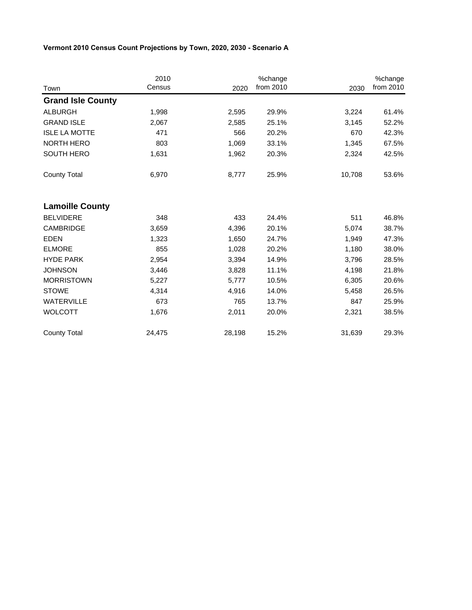|                          | 2010   |        | %change   |        | %change   |
|--------------------------|--------|--------|-----------|--------|-----------|
| Town                     | Census | 2020   | from 2010 | 2030   | from 2010 |
| <b>Grand Isle County</b> |        |        |           |        |           |
| <b>ALBURGH</b>           | 1,998  | 2,595  | 29.9%     | 3,224  | 61.4%     |
| <b>GRAND ISLE</b>        | 2,067  | 2,585  | 25.1%     | 3,145  | 52.2%     |
| <b>ISLE LA MOTTE</b>     | 471    | 566    | 20.2%     | 670    | 42.3%     |
| <b>NORTH HERO</b>        | 803    | 1,069  | 33.1%     | 1,345  | 67.5%     |
| <b>SOUTH HERO</b>        | 1,631  | 1,962  | 20.3%     | 2,324  | 42.5%     |
| <b>County Total</b>      | 6,970  | 8,777  | 25.9%     | 10,708 | 53.6%     |
| <b>Lamoille County</b>   |        |        |           |        |           |
| <b>BELVIDERE</b>         | 348    | 433    | 24.4%     | 511    | 46.8%     |
| <b>CAMBRIDGE</b>         | 3,659  | 4,396  | 20.1%     | 5,074  | 38.7%     |
| <b>EDEN</b>              | 1,323  | 1,650  | 24.7%     | 1,949  | 47.3%     |
| <b>ELMORE</b>            | 855    | 1,028  | 20.2%     | 1,180  | 38.0%     |
| <b>HYDE PARK</b>         | 2,954  | 3,394  | 14.9%     | 3,796  | 28.5%     |
| <b>JOHNSON</b>           | 3,446  | 3,828  | 11.1%     | 4,198  | 21.8%     |
| <b>MORRISTOWN</b>        | 5,227  | 5,777  | 10.5%     | 6,305  | 20.6%     |
| <b>STOWE</b>             | 4,314  | 4,916  | 14.0%     | 5,458  | 26.5%     |
| <b>WATERVILLE</b>        | 673    | 765    | 13.7%     | 847    | 25.9%     |
| <b>WOLCOTT</b>           | 1,676  | 2,011  | 20.0%     | 2,321  | 38.5%     |
| <b>County Total</b>      | 24,475 | 28,198 | 15.2%     | 31,639 | 29.3%     |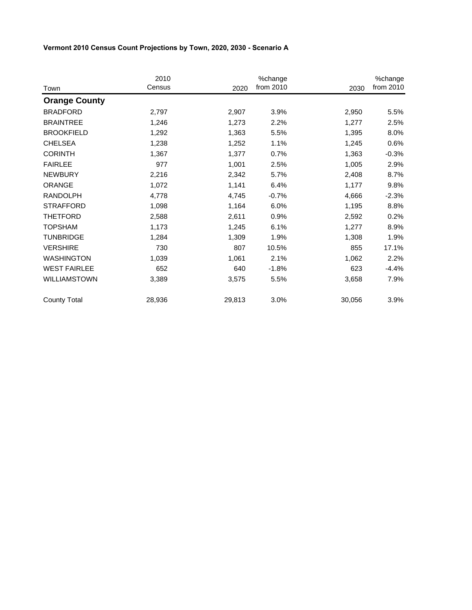| Town                 | 2010<br>Census | 2020   | %change<br>from 2010 | 2030   | %change<br>from 2010 |
|----------------------|----------------|--------|----------------------|--------|----------------------|
|                      |                |        |                      |        |                      |
| <b>Orange County</b> |                |        |                      |        |                      |
| <b>BRADFORD</b>      | 2,797          | 2,907  | 3.9%                 | 2,950  | 5.5%                 |
| <b>BRAINTREE</b>     | 1,246          | 1,273  | 2.2%                 | 1,277  | 2.5%                 |
| <b>BROOKFIELD</b>    | 1,292          | 1,363  | 5.5%                 | 1,395  | 8.0%                 |
| <b>CHELSEA</b>       | 1,238          | 1,252  | 1.1%                 | 1,245  | 0.6%                 |
| <b>CORINTH</b>       | 1,367          | 1,377  | 0.7%                 | 1,363  | $-0.3%$              |
| <b>FAIRLEE</b>       | 977            | 1,001  | 2.5%                 | 1,005  | 2.9%                 |
| <b>NEWBURY</b>       | 2,216          | 2,342  | 5.7%                 | 2,408  | 8.7%                 |
| <b>ORANGE</b>        | 1,072          | 1,141  | 6.4%                 | 1,177  | 9.8%                 |
| <b>RANDOLPH</b>      | 4,778          | 4,745  | $-0.7%$              | 4,666  | $-2.3%$              |
| <b>STRAFFORD</b>     | 1,098          | 1,164  | 6.0%                 | 1,195  | 8.8%                 |
| <b>THETFORD</b>      | 2,588          | 2,611  | 0.9%                 | 2,592  | 0.2%                 |
| <b>TOPSHAM</b>       | 1,173          | 1,245  | 6.1%                 | 1,277  | 8.9%                 |
| <b>TUNBRIDGE</b>     | 1,284          | 1,309  | 1.9%                 | 1,308  | 1.9%                 |
| <b>VERSHIRE</b>      | 730            | 807    | 10.5%                | 855    | 17.1%                |
| <b>WASHINGTON</b>    | 1,039          | 1,061  | 2.1%                 | 1,062  | 2.2%                 |
| <b>WEST FAIRLEE</b>  | 652            | 640    | $-1.8%$              | 623    | $-4.4%$              |
| <b>WILLIAMSTOWN</b>  | 3,389          | 3,575  | 5.5%                 | 3,658  | 7.9%                 |
| <b>County Total</b>  | 28,936         | 29,813 | 3.0%                 | 30,056 | 3.9%                 |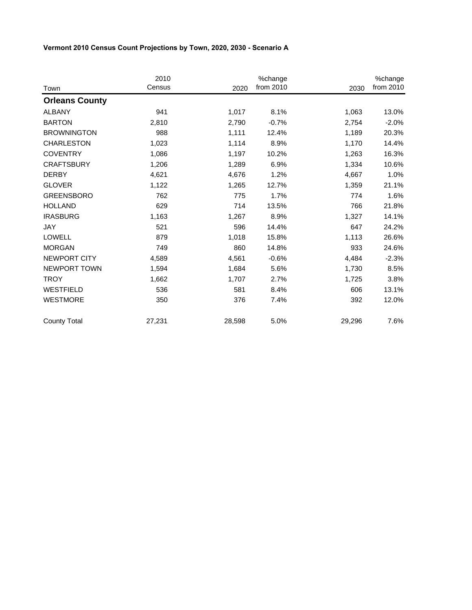|                       | 2010   |        | %change   |        | %change   |
|-----------------------|--------|--------|-----------|--------|-----------|
| Town                  | Census | 2020   | from 2010 | 2030   | from 2010 |
| <b>Orleans County</b> |        |        |           |        |           |
| <b>ALBANY</b>         | 941    | 1,017  | 8.1%      | 1,063  | 13.0%     |
| <b>BARTON</b>         | 2,810  | 2,790  | $-0.7%$   | 2,754  | $-2.0%$   |
| <b>BROWNINGTON</b>    | 988    | 1,111  | 12.4%     | 1,189  | 20.3%     |
| <b>CHARLESTON</b>     | 1,023  | 1,114  | 8.9%      | 1,170  | 14.4%     |
| <b>COVENTRY</b>       | 1,086  | 1,197  | 10.2%     | 1,263  | 16.3%     |
| <b>CRAFTSBURY</b>     | 1,206  | 1,289  | 6.9%      | 1,334  | 10.6%     |
| <b>DERBY</b>          | 4,621  | 4,676  | 1.2%      | 4,667  | 1.0%      |
| <b>GLOVER</b>         | 1,122  | 1,265  | 12.7%     | 1,359  | 21.1%     |
| <b>GREENSBORO</b>     | 762    | 775    | 1.7%      | 774    | 1.6%      |
| <b>HOLLAND</b>        | 629    | 714    | 13.5%     | 766    | 21.8%     |
| <b>IRASBURG</b>       | 1,163  | 1,267  | 8.9%      | 1,327  | 14.1%     |
| JAY                   | 521    | 596    | 14.4%     | 647    | 24.2%     |
| <b>LOWELL</b>         | 879    | 1,018  | 15.8%     | 1,113  | 26.6%     |
| <b>MORGAN</b>         | 749    | 860    | 14.8%     | 933    | 24.6%     |
| NEWPORT CITY          | 4,589  | 4,561  | $-0.6%$   | 4,484  | $-2.3%$   |
| NEWPORT TOWN          | 1,594  | 1,684  | 5.6%      | 1,730  | 8.5%      |
| <b>TROY</b>           | 1,662  | 1,707  | 2.7%      | 1,725  | 3.8%      |
| <b>WESTFIELD</b>      | 536    | 581    | 8.4%      | 606    | 13.1%     |
| <b>WESTMORE</b>       | 350    | 376    | 7.4%      | 392    | 12.0%     |
| <b>County Total</b>   | 27,231 | 28,598 | 5.0%      | 29,296 | 7.6%      |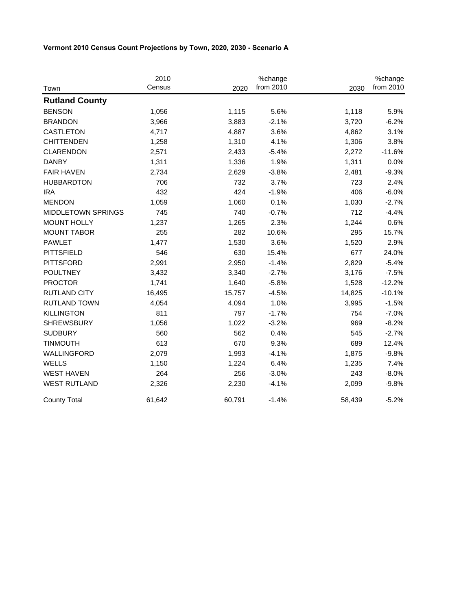|                       | 2010   |        | %change   |        | %change   |
|-----------------------|--------|--------|-----------|--------|-----------|
| Town                  | Census | 2020   | from 2010 | 2030   | from 2010 |
| <b>Rutland County</b> |        |        |           |        |           |
| <b>BENSON</b>         | 1,056  | 1,115  | 5.6%      | 1,118  | 5.9%      |
| <b>BRANDON</b>        | 3,966  | 3,883  | $-2.1%$   | 3,720  | $-6.2%$   |
| <b>CASTLETON</b>      | 4,717  | 4,887  | 3.6%      | 4,862  | 3.1%      |
| <b>CHITTENDEN</b>     | 1,258  | 1,310  | 4.1%      | 1,306  | 3.8%      |
| <b>CLARENDON</b>      | 2,571  | 2,433  | $-5.4%$   | 2,272  | $-11.6%$  |
| <b>DANBY</b>          | 1,311  | 1,336  | 1.9%      | 1,311  | 0.0%      |
| <b>FAIR HAVEN</b>     | 2,734  | 2,629  | $-3.8%$   | 2,481  | $-9.3%$   |
| <b>HUBBARDTON</b>     | 706    | 732    | 3.7%      | 723    | 2.4%      |
| <b>IRA</b>            | 432    | 424    | $-1.9%$   | 406    | $-6.0%$   |
| <b>MENDON</b>         | 1,059  | 1,060  | 0.1%      | 1,030  | $-2.7%$   |
| MIDDLETOWN SPRINGS    | 745    | 740    | $-0.7%$   | 712    | $-4.4%$   |
| <b>MOUNT HOLLY</b>    | 1,237  | 1,265  | 2.3%      | 1,244  | 0.6%      |
| <b>MOUNT TABOR</b>    | 255    | 282    | 10.6%     | 295    | 15.7%     |
| <b>PAWLET</b>         | 1,477  | 1,530  | 3.6%      | 1,520  | 2.9%      |
| <b>PITTSFIELD</b>     | 546    | 630    | 15.4%     | 677    | 24.0%     |
| <b>PITTSFORD</b>      | 2,991  | 2,950  | $-1.4%$   | 2,829  | $-5.4%$   |
| <b>POULTNEY</b>       | 3,432  | 3,340  | $-2.7%$   | 3,176  | $-7.5%$   |
| <b>PROCTOR</b>        | 1,741  | 1,640  | $-5.8%$   | 1,528  | $-12.2%$  |
| <b>RUTLAND CITY</b>   | 16,495 | 15,757 | $-4.5%$   | 14,825 | $-10.1%$  |
| <b>RUTLAND TOWN</b>   | 4,054  | 4,094  | 1.0%      | 3,995  | $-1.5%$   |
| <b>KILLINGTON</b>     | 811    | 797    | $-1.7%$   | 754    | $-7.0%$   |
| <b>SHREWSBURY</b>     | 1,056  | 1,022  | $-3.2%$   | 969    | $-8.2%$   |
| <b>SUDBURY</b>        | 560    | 562    | 0.4%      | 545    | $-2.7%$   |
| <b>TINMOUTH</b>       | 613    | 670    | 9.3%      | 689    | 12.4%     |
| WALLINGFORD           | 2,079  | 1,993  | $-4.1%$   | 1,875  | $-9.8%$   |
| <b>WELLS</b>          | 1,150  | 1,224  | 6.4%      | 1,235  | 7.4%      |
| <b>WEST HAVEN</b>     | 264    | 256    | $-3.0%$   | 243    | $-8.0%$   |
| <b>WEST RUTLAND</b>   | 2,326  | 2,230  | $-4.1%$   | 2,099  | $-9.8%$   |
| <b>County Total</b>   | 61,642 | 60,791 | $-1.4%$   | 58,439 | $-5.2%$   |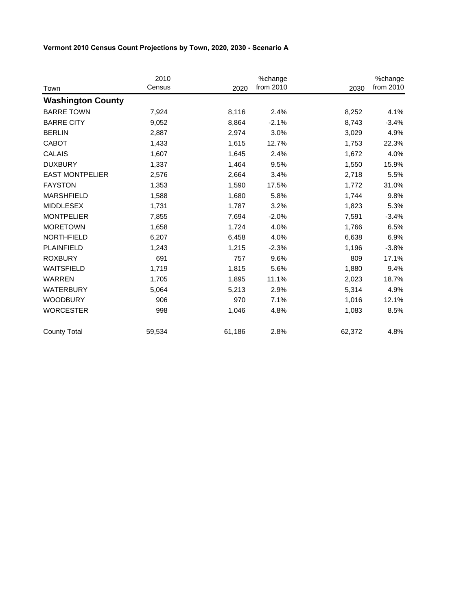|                          | 2010   |        | %change   |        | %change   |
|--------------------------|--------|--------|-----------|--------|-----------|
| Town                     | Census | 2020   | from 2010 | 2030   | from 2010 |
| <b>Washington County</b> |        |        |           |        |           |
| <b>BARRE TOWN</b>        | 7,924  | 8,116  | 2.4%      | 8,252  | 4.1%      |
| <b>BARRE CITY</b>        | 9,052  | 8,864  | $-2.1%$   | 8,743  | $-3.4%$   |
| <b>BERLIN</b>            | 2,887  | 2,974  | 3.0%      | 3,029  | 4.9%      |
| <b>CABOT</b>             | 1,433  | 1,615  | 12.7%     | 1,753  | 22.3%     |
| <b>CALAIS</b>            | 1,607  | 1,645  | 2.4%      | 1,672  | 4.0%      |
| <b>DUXBURY</b>           | 1,337  | 1,464  | 9.5%      | 1,550  | 15.9%     |
| <b>EAST MONTPELIER</b>   | 2,576  | 2,664  | 3.4%      | 2,718  | 5.5%      |
| <b>FAYSTON</b>           | 1,353  | 1,590  | 17.5%     | 1,772  | 31.0%     |
| <b>MARSHFIELD</b>        | 1,588  | 1,680  | 5.8%      | 1,744  | 9.8%      |
| <b>MIDDLESEX</b>         | 1,731  | 1,787  | 3.2%      | 1,823  | 5.3%      |
| <b>MONTPELIER</b>        | 7,855  | 7,694  | $-2.0%$   | 7,591  | $-3.4%$   |
| <b>MORETOWN</b>          | 1,658  | 1,724  | 4.0%      | 1,766  | 6.5%      |
| <b>NORTHFIELD</b>        | 6,207  | 6,458  | 4.0%      | 6,638  | 6.9%      |
| PLAINFIELD               | 1,243  | 1,215  | $-2.3%$   | 1,196  | $-3.8%$   |
| <b>ROXBURY</b>           | 691    | 757    | 9.6%      | 809    | 17.1%     |
| <b>WAITSFIELD</b>        | 1,719  | 1,815  | 5.6%      | 1,880  | 9.4%      |
| <b>WARREN</b>            | 1,705  | 1,895  | 11.1%     | 2,023  | 18.7%     |
| <b>WATERBURY</b>         | 5,064  | 5,213  | 2.9%      | 5,314  | 4.9%      |
| <b>WOODBURY</b>          | 906    | 970    | 7.1%      | 1,016  | 12.1%     |
| <b>WORCESTER</b>         | 998    | 1,046  | 4.8%      | 1,083  | 8.5%      |
| <b>County Total</b>      | 59,534 | 61,186 | 2.8%      | 62,372 | 4.8%      |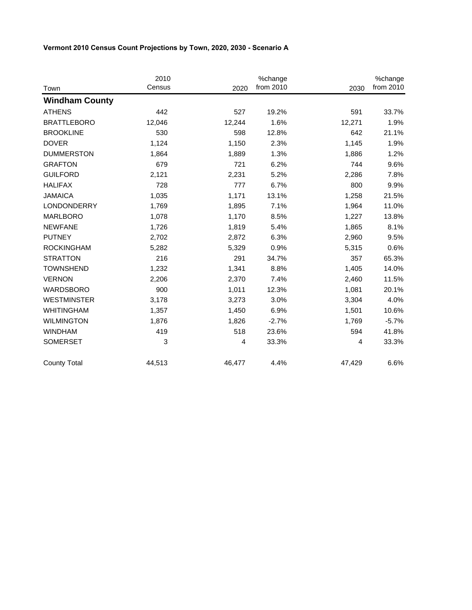|                       | 2010   |        | %change   |        | %change   |
|-----------------------|--------|--------|-----------|--------|-----------|
| Town                  | Census | 2020   | from 2010 | 2030   | from 2010 |
| <b>Windham County</b> |        |        |           |        |           |
| <b>ATHENS</b>         | 442    | 527    | 19.2%     | 591    | 33.7%     |
| <b>BRATTLEBORO</b>    | 12,046 | 12,244 | 1.6%      | 12,271 | 1.9%      |
| <b>BROOKLINE</b>      | 530    | 598    | 12.8%     | 642    | 21.1%     |
| <b>DOVER</b>          | 1,124  | 1,150  | 2.3%      | 1,145  | 1.9%      |
| <b>DUMMERSTON</b>     | 1,864  | 1,889  | 1.3%      | 1,886  | 1.2%      |
| <b>GRAFTON</b>        | 679    | 721    | 6.2%      | 744    | 9.6%      |
| <b>GUILFORD</b>       | 2,121  | 2,231  | 5.2%      | 2,286  | 7.8%      |
| <b>HALIFAX</b>        | 728    | 777    | 6.7%      | 800    | 9.9%      |
| <b>JAMAICA</b>        | 1,035  | 1,171  | 13.1%     | 1,258  | 21.5%     |
| <b>LONDONDERRY</b>    | 1,769  | 1,895  | 7.1%      | 1,964  | 11.0%     |
| <b>MARLBORO</b>       | 1,078  | 1,170  | 8.5%      | 1,227  | 13.8%     |
| <b>NEWFANE</b>        | 1,726  | 1,819  | 5.4%      | 1,865  | 8.1%      |
| <b>PUTNEY</b>         | 2,702  | 2,872  | 6.3%      | 2,960  | 9.5%      |
| <b>ROCKINGHAM</b>     | 5,282  | 5,329  | 0.9%      | 5,315  | 0.6%      |
| <b>STRATTON</b>       | 216    | 291    | 34.7%     | 357    | 65.3%     |
| <b>TOWNSHEND</b>      | 1,232  | 1,341  | 8.8%      | 1,405  | 14.0%     |
| <b>VERNON</b>         | 2,206  | 2,370  | 7.4%      | 2,460  | 11.5%     |
| <b>WARDSBORO</b>      | 900    | 1,011  | 12.3%     | 1,081  | 20.1%     |
| <b>WESTMINSTER</b>    | 3,178  | 3,273  | 3.0%      | 3,304  | 4.0%      |
| <b>WHITINGHAM</b>     | 1,357  | 1,450  | 6.9%      | 1,501  | 10.6%     |
| <b>WILMINGTON</b>     | 1,876  | 1,826  | $-2.7%$   | 1,769  | $-5.7%$   |
| <b>WINDHAM</b>        | 419    | 518    | 23.6%     | 594    | 41.8%     |
| <b>SOMERSET</b>       | 3      | 4      | 33.3%     | 4      | 33.3%     |
| <b>County Total</b>   | 44,513 | 46,477 | 4.4%      | 47,429 | 6.6%      |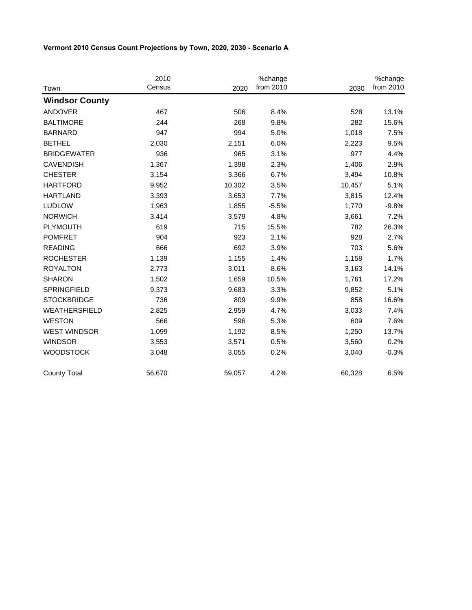|                       | 2010   |        | %change   |        | %change   |
|-----------------------|--------|--------|-----------|--------|-----------|
| Town                  | Census | 2020   | from 2010 | 2030   | from 2010 |
| <b>Windsor County</b> |        |        |           |        |           |
| <b>ANDOVER</b>        | 467    | 506    | 8.4%      | 528    | 13.1%     |
| <b>BALTIMORE</b>      | 244    | 268    | 9.8%      | 282    | 15.6%     |
| <b>BARNARD</b>        | 947    | 994    | 5.0%      | 1,018  | 7.5%      |
| <b>BETHEL</b>         | 2,030  | 2,151  | 6.0%      | 2,223  | 9.5%      |
| <b>BRIDGEWATER</b>    | 936    | 965    | 3.1%      | 977    | 4.4%      |
| <b>CAVENDISH</b>      | 1,367  | 1,398  | 2.3%      | 1,406  | 2.9%      |
| <b>CHESTER</b>        | 3,154  | 3,366  | 6.7%      | 3,494  | 10.8%     |
| <b>HARTFORD</b>       | 9,952  | 10,302 | 3.5%      | 10,457 | 5.1%      |
| <b>HARTLAND</b>       | 3,393  | 3,653  | 7.7%      | 3,815  | 12.4%     |
| <b>LUDLOW</b>         | 1,963  | 1,855  | $-5.5%$   | 1,770  | $-9.8%$   |
| <b>NORWICH</b>        | 3,414  | 3,579  | 4.8%      | 3,661  | 7.2%      |
| <b>PLYMOUTH</b>       | 619    | 715    | 15.5%     | 782    | 26.3%     |
| <b>POMFRET</b>        | 904    | 923    | 2.1%      | 928    | 2.7%      |
| <b>READING</b>        | 666    | 692    | 3.9%      | 703    | 5.6%      |
| <b>ROCHESTER</b>      | 1,139  | 1,155  | 1.4%      | 1,158  | 1.7%      |
| <b>ROYALTON</b>       | 2,773  | 3,011  | 8.6%      | 3,163  | 14.1%     |
| <b>SHARON</b>         | 1,502  | 1,659  | 10.5%     | 1,761  | 17.2%     |
| <b>SPRINGFIELD</b>    | 9,373  | 9,683  | 3.3%      | 9,852  | 5.1%      |
| <b>STOCKBRIDGE</b>    | 736    | 809    | 9.9%      | 858    | 16.6%     |
| WEATHERSFIELD         | 2,825  | 2,959  | 4.7%      | 3,033  | 7.4%      |
| <b>WESTON</b>         | 566    | 596    | 5.3%      | 609    | 7.6%      |
| <b>WEST WINDSOR</b>   | 1,099  | 1,192  | 8.5%      | 1,250  | 13.7%     |
| <b>WINDSOR</b>        | 3,553  | 3,571  | 0.5%      | 3,560  | 0.2%      |
| <b>WOODSTOCK</b>      | 3,048  | 3,055  | 0.2%      | 3,040  | $-0.3%$   |
| <b>County Total</b>   | 56,670 | 59,057 | 4.2%      | 60,328 | 6.5%      |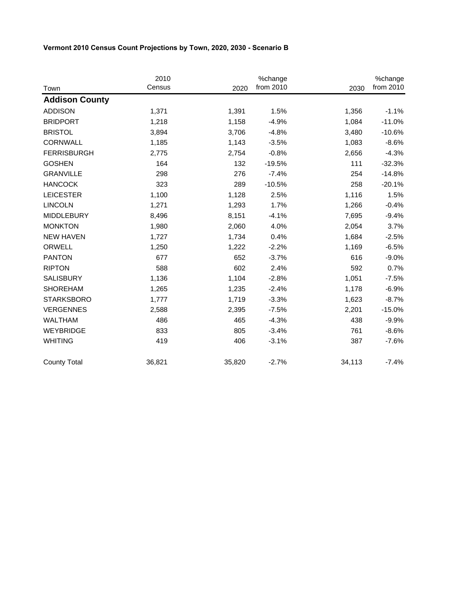|                       | 2010   |        | %change   |        | %change   |
|-----------------------|--------|--------|-----------|--------|-----------|
| Town                  | Census | 2020   | from 2010 | 2030   | from 2010 |
| <b>Addison County</b> |        |        |           |        |           |
| <b>ADDISON</b>        | 1,371  | 1,391  | 1.5%      | 1,356  | $-1.1%$   |
| <b>BRIDPORT</b>       | 1,218  | 1,158  | $-4.9%$   | 1,084  | $-11.0%$  |
| <b>BRISTOL</b>        | 3,894  | 3,706  | $-4.8%$   | 3,480  | $-10.6%$  |
| <b>CORNWALL</b>       | 1,185  | 1,143  | $-3.5%$   | 1,083  | $-8.6%$   |
| <b>FERRISBURGH</b>    | 2,775  | 2,754  | $-0.8%$   | 2,656  | $-4.3%$   |
| <b>GOSHEN</b>         | 164    | 132    | $-19.5%$  | 111    | $-32.3%$  |
| <b>GRANVILLE</b>      | 298    | 276    | $-7.4%$   | 254    | $-14.8%$  |
| <b>HANCOCK</b>        | 323    | 289    | $-10.5%$  | 258    | $-20.1%$  |
| <b>LEICESTER</b>      | 1,100  | 1,128  | 2.5%      | 1,116  | 1.5%      |
| <b>LINCOLN</b>        | 1,271  | 1,293  | 1.7%      | 1,266  | $-0.4%$   |
| <b>MIDDLEBURY</b>     | 8,496  | 8,151  | $-4.1%$   | 7,695  | $-9.4%$   |
| <b>MONKTON</b>        | 1,980  | 2,060  | 4.0%      | 2,054  | 3.7%      |
| <b>NEW HAVEN</b>      | 1,727  | 1,734  | 0.4%      | 1,684  | $-2.5%$   |
| ORWELL                | 1,250  | 1,222  | $-2.2%$   | 1,169  | $-6.5%$   |
| <b>PANTON</b>         | 677    | 652    | $-3.7%$   | 616    | $-9.0%$   |
| <b>RIPTON</b>         | 588    | 602    | 2.4%      | 592    | 0.7%      |
| SALISBURY             | 1,136  | 1,104  | $-2.8%$   | 1,051  | $-7.5%$   |
| <b>SHOREHAM</b>       | 1,265  | 1,235  | $-2.4%$   | 1,178  | $-6.9%$   |
| <b>STARKSBORO</b>     | 1,777  | 1,719  | $-3.3%$   | 1,623  | $-8.7%$   |
| <b>VERGENNES</b>      | 2,588  | 2,395  | $-7.5%$   | 2,201  | $-15.0%$  |
| <b>WALTHAM</b>        | 486    | 465    | $-4.3%$   | 438    | $-9.9%$   |
| WEYBRIDGE             | 833    | 805    | $-3.4%$   | 761    | $-8.6%$   |
| <b>WHITING</b>        | 419    | 406    | $-3.1%$   | 387    | $-7.6%$   |
| <b>County Total</b>   | 36,821 | 35,820 | $-2.7%$   | 34,113 | $-7.4%$   |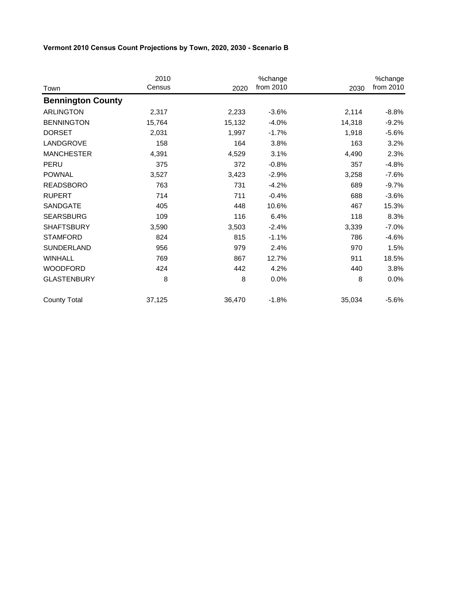|                          | 2010   |        | %change   |        | %change   |
|--------------------------|--------|--------|-----------|--------|-----------|
| Town                     | Census | 2020   | from 2010 | 2030   | from 2010 |
| <b>Bennington County</b> |        |        |           |        |           |
| <b>ARLINGTON</b>         | 2,317  | 2,233  | $-3.6%$   | 2,114  | $-8.8%$   |
| <b>BENNINGTON</b>        | 15,764 | 15,132 | $-4.0%$   | 14,318 | $-9.2%$   |
| <b>DORSET</b>            | 2,031  | 1,997  | $-1.7%$   | 1,918  | $-5.6%$   |
| LANDGROVE                | 158    | 164    | 3.8%      | 163    | 3.2%      |
| <b>MANCHESTER</b>        | 4,391  | 4,529  | 3.1%      | 4,490  | 2.3%      |
| PERU                     | 375    | 372    | $-0.8%$   | 357    | $-4.8%$   |
| <b>POWNAL</b>            | 3,527  | 3,423  | $-2.9%$   | 3,258  | $-7.6%$   |
| <b>READSBORO</b>         | 763    | 731    | $-4.2%$   | 689    | $-9.7%$   |
| <b>RUPERT</b>            | 714    | 711    | $-0.4%$   | 688    | $-3.6%$   |
| SANDGATE                 | 405    | 448    | 10.6%     | 467    | 15.3%     |
| <b>SEARSBURG</b>         | 109    | 116    | 6.4%      | 118    | 8.3%      |
| <b>SHAFTSBURY</b>        | 3,590  | 3,503  | $-2.4%$   | 3,339  | $-7.0\%$  |
| <b>STAMFORD</b>          | 824    | 815    | $-1.1%$   | 786    | $-4.6%$   |
| SUNDERLAND               | 956    | 979    | 2.4%      | 970    | 1.5%      |
| <b>WINHALL</b>           | 769    | 867    | 12.7%     | 911    | 18.5%     |
| <b>WOODFORD</b>          | 424    | 442    | 4.2%      | 440    | 3.8%      |
| <b>GLASTENBURY</b>       | 8      | 8      | 0.0%      | 8      | $0.0\%$   |
| <b>County Total</b>      | 37,125 | 36,470 | $-1.8%$   | 35,034 | $-5.6%$   |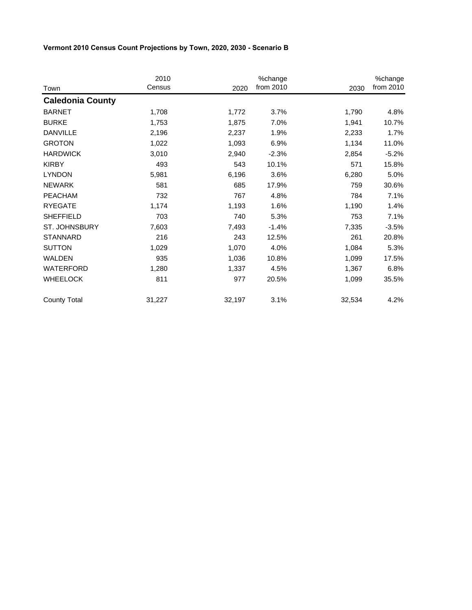|                         | 2010   |        | %change   |        | %change   |
|-------------------------|--------|--------|-----------|--------|-----------|
| Town                    | Census | 2020   | from 2010 | 2030   | from 2010 |
| <b>Caledonia County</b> |        |        |           |        |           |
| <b>BARNET</b>           | 1,708  | 1,772  | 3.7%      | 1,790  | 4.8%      |
| <b>BURKE</b>            | 1,753  | 1,875  | 7.0%      | 1,941  | 10.7%     |
| <b>DANVILLE</b>         | 2,196  | 2,237  | 1.9%      | 2,233  | 1.7%      |
| <b>GROTON</b>           | 1,022  | 1,093  | 6.9%      | 1,134  | 11.0%     |
| <b>HARDWICK</b>         | 3,010  | 2,940  | $-2.3%$   | 2,854  | $-5.2%$   |
| <b>KIRBY</b>            | 493    | 543    | 10.1%     | 571    | 15.8%     |
| <b>LYNDON</b>           | 5,981  | 6,196  | 3.6%      | 6,280  | 5.0%      |
| <b>NEWARK</b>           | 581    | 685    | 17.9%     | 759    | 30.6%     |
| <b>PEACHAM</b>          | 732    | 767    | 4.8%      | 784    | 7.1%      |
| <b>RYEGATE</b>          | 1,174  | 1,193  | 1.6%      | 1,190  | 1.4%      |
| <b>SHEFFIELD</b>        | 703    | 740    | 5.3%      | 753    | 7.1%      |
| ST. JOHNSBURY           | 7,603  | 7,493  | $-1.4%$   | 7,335  | $-3.5%$   |
| <b>STANNARD</b>         | 216    | 243    | 12.5%     | 261    | 20.8%     |
| <b>SUTTON</b>           | 1,029  | 1,070  | 4.0%      | 1,084  | 5.3%      |
| <b>WALDEN</b>           | 935    | 1,036  | 10.8%     | 1,099  | 17.5%     |
| WATERFORD               | 1,280  | 1,337  | 4.5%      | 1,367  | 6.8%      |
| <b>WHEELOCK</b>         | 811    | 977    | 20.5%     | 1,099  | 35.5%     |
| <b>County Total</b>     | 31,227 | 32,197 | 3.1%      | 32,534 | 4.2%      |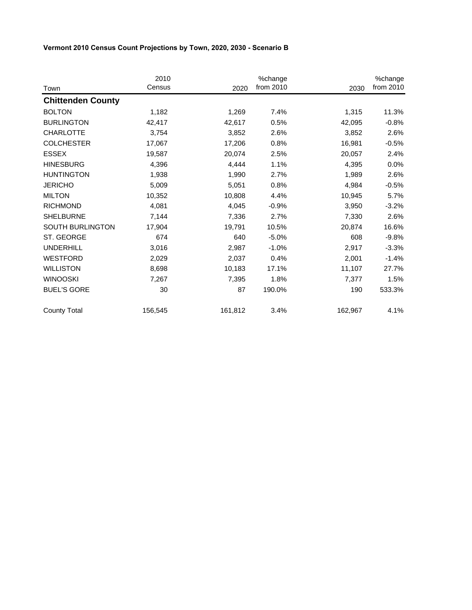|                          | 2010<br>Census | 2020    | %change<br>from 2010 |         | %change<br>from 2010 |
|--------------------------|----------------|---------|----------------------|---------|----------------------|
| Town                     |                |         |                      | 2030    |                      |
| <b>Chittenden County</b> |                |         |                      |         |                      |
| <b>BOLTON</b>            | 1,182          | 1,269   | 7.4%                 | 1,315   | 11.3%                |
| <b>BURLINGTON</b>        | 42,417         | 42,617  | 0.5%                 | 42,095  | $-0.8%$              |
| <b>CHARLOTTE</b>         | 3,754          | 3,852   | 2.6%                 | 3,852   | 2.6%                 |
| <b>COLCHESTER</b>        | 17,067         | 17,206  | 0.8%                 | 16,981  | $-0.5%$              |
| <b>ESSEX</b>             | 19,587         | 20,074  | 2.5%                 | 20,057  | 2.4%                 |
| <b>HINESBURG</b>         | 4,396          | 4,444   | 1.1%                 | 4,395   | 0.0%                 |
| <b>HUNTINGTON</b>        | 1,938          | 1,990   | 2.7%                 | 1,989   | 2.6%                 |
| <b>JERICHO</b>           | 5,009          | 5,051   | 0.8%                 | 4,984   | $-0.5%$              |
| <b>MILTON</b>            | 10,352         | 10,808  | 4.4%                 | 10,945  | 5.7%                 |
| <b>RICHMOND</b>          | 4,081          | 4,045   | $-0.9%$              | 3,950   | $-3.2%$              |
| <b>SHELBURNE</b>         | 7,144          | 7,336   | 2.7%                 | 7,330   | 2.6%                 |
| SOUTH BURLINGTON         | 17,904         | 19,791  | 10.5%                | 20,874  | 16.6%                |
| ST. GEORGE               | 674            | 640     | $-5.0%$              | 608     | $-9.8%$              |
| <b>UNDERHILL</b>         | 3,016          | 2,987   | $-1.0%$              | 2,917   | $-3.3%$              |
| <b>WESTFORD</b>          | 2,029          | 2,037   | 0.4%                 | 2,001   | $-1.4%$              |
| <b>WILLISTON</b>         | 8,698          | 10,183  | 17.1%                | 11,107  | 27.7%                |
| <b>WINOOSKI</b>          | 7,267          | 7,395   | 1.8%                 | 7,377   | 1.5%                 |
| <b>BUEL'S GORE</b>       | 30             | 87      | 190.0%               | 190     | 533.3%               |
| <b>County Total</b>      | 156,545        | 161,812 | 3.4%                 | 162,967 | 4.1%                 |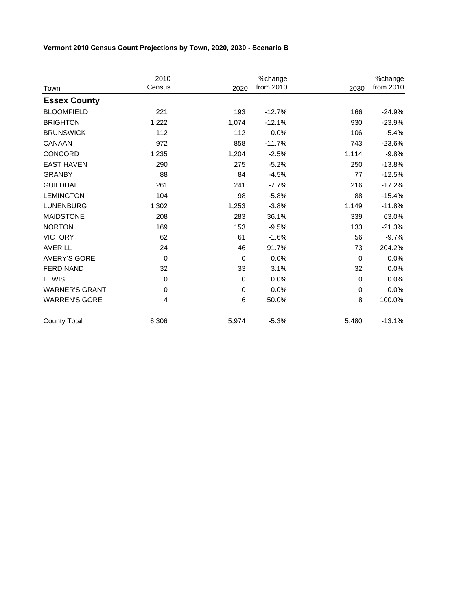|                       | 2010        |             | %change   |             | %change   |
|-----------------------|-------------|-------------|-----------|-------------|-----------|
| Town                  | Census      | 2020        | from 2010 | 2030        | from 2010 |
| <b>Essex County</b>   |             |             |           |             |           |
| <b>BLOOMFIELD</b>     | 221         | 193         | $-12.7%$  | 166         | $-24.9%$  |
| <b>BRIGHTON</b>       | 1,222       | 1,074       | $-12.1%$  | 930         | $-23.9%$  |
| <b>BRUNSWICK</b>      | 112         | 112         | 0.0%      | 106         | $-5.4%$   |
| CANAAN                | 972         | 858         | $-11.7%$  | 743         | $-23.6%$  |
| CONCORD               | 1,235       | 1,204       | $-2.5%$   | 1,114       | $-9.8%$   |
| <b>EAST HAVEN</b>     | 290         | 275         | $-5.2%$   | 250         | $-13.8%$  |
| <b>GRANBY</b>         | 88          | 84          | $-4.5%$   | 77          | $-12.5%$  |
| <b>GUILDHALL</b>      | 261         | 241         | $-7.7%$   | 216         | $-17.2%$  |
| <b>LEMINGTON</b>      | 104         | 98          | $-5.8%$   | 88          | $-15.4%$  |
| <b>LUNENBURG</b>      | 1,302       | 1,253       | $-3.8%$   | 1,149       | $-11.8%$  |
| <b>MAIDSTONE</b>      | 208         | 283         | 36.1%     | 339         | 63.0%     |
| <b>NORTON</b>         | 169         | 153         | $-9.5%$   | 133         | $-21.3%$  |
| <b>VICTORY</b>        | 62          | 61          | $-1.6%$   | 56          | $-9.7%$   |
| <b>AVERILL</b>        | 24          | 46          | 91.7%     | 73          | 204.2%    |
| <b>AVERY'S GORE</b>   | $\Omega$    | $\mathbf 0$ | 0.0%      | $\Omega$    | 0.0%      |
| <b>FERDINAND</b>      | 32          | 33          | 3.1%      | 32          | 0.0%      |
| <b>LEWIS</b>          | $\mathbf 0$ | $\mathbf 0$ | 0.0%      | $\mathbf 0$ | 0.0%      |
| <b>WARNER'S GRANT</b> | 0           | 0           | 0.0%      | $\mathbf 0$ | 0.0%      |
| <b>WARREN'S GORE</b>  | 4           | 6           | 50.0%     | 8           | 100.0%    |
| <b>County Total</b>   | 6,306       | 5,974       | $-5.3%$   | 5,480       | $-13.1%$  |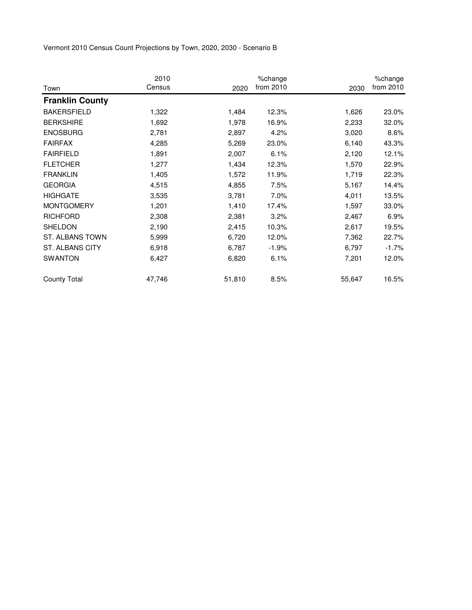|                        | 2010   |        | %change   |        | %change   |
|------------------------|--------|--------|-----------|--------|-----------|
| Town                   | Census | 2020   | from 2010 | 2030   | from 2010 |
| <b>Franklin County</b> |        |        |           |        |           |
| <b>BAKERSFIELD</b>     | 1,322  | 1,484  | 12.3%     | 1,626  | 23.0%     |
| <b>BERKSHIRE</b>       | 1,692  | 1,978  | 16.9%     | 2,233  | 32.0%     |
| <b>ENOSBURG</b>        | 2,781  | 2,897  | 4.2%      | 3,020  | 8.6%      |
| <b>FAIRFAX</b>         | 4,285  | 5,269  | 23.0%     | 6,140  | 43.3%     |
| <b>FAIRFIELD</b>       | 1,891  | 2,007  | 6.1%      | 2,120  | 12.1%     |
| <b>FLETCHER</b>        | 1,277  | 1,434  | 12.3%     | 1,570  | 22.9%     |
| <b>FRANKLIN</b>        | 1,405  | 1,572  | 11.9%     | 1,719  | 22.3%     |
| <b>GEORGIA</b>         | 4,515  | 4,855  | 7.5%      | 5,167  | 14.4%     |
| <b>HIGHGATE</b>        | 3,535  | 3,781  | 7.0%      | 4,011  | 13.5%     |
| <b>MONTGOMERY</b>      | 1,201  | 1,410  | 17.4%     | 1,597  | 33.0%     |
| <b>RICHFORD</b>        | 2,308  | 2,381  | 3.2%      | 2,467  | 6.9%      |
| SHELDON                | 2,190  | 2,415  | 10.3%     | 2,617  | 19.5%     |
| ST. ALBANS TOWN        | 5,999  | 6,720  | 12.0%     | 7,362  | 22.7%     |
| ST. ALBANS CITY        | 6,918  | 6,787  | $-1.9%$   | 6,797  | $-1.7%$   |
| <b>SWANTON</b>         | 6,427  | 6,820  | 6.1%      | 7,201  | 12.0%     |
| <b>County Total</b>    | 47,746 | 51,810 | 8.5%      | 55,647 | 16.5%     |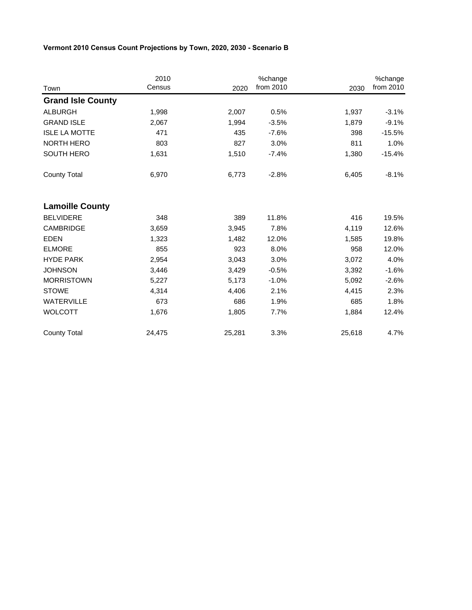|                          | 2010   |        | %change   |        | %change   |
|--------------------------|--------|--------|-----------|--------|-----------|
| Town                     | Census | 2020   | from 2010 | 2030   | from 2010 |
| <b>Grand Isle County</b> |        |        |           |        |           |
| <b>ALBURGH</b>           | 1,998  | 2,007  | 0.5%      | 1,937  | $-3.1%$   |
| <b>GRAND ISLE</b>        | 2,067  | 1,994  | $-3.5%$   | 1,879  | $-9.1%$   |
| <b>ISLE LA MOTTE</b>     | 471    | 435    | $-7.6%$   | 398    | $-15.5%$  |
| <b>NORTH HERO</b>        | 803    | 827    | 3.0%      | 811    | 1.0%      |
| SOUTH HERO               | 1,631  | 1,510  | $-7.4%$   | 1,380  | $-15.4%$  |
| <b>County Total</b>      | 6,970  | 6,773  | $-2.8%$   | 6,405  | $-8.1%$   |
| <b>Lamoille County</b>   |        |        |           |        |           |
| <b>BELVIDERE</b>         | 348    | 389    | 11.8%     | 416    | 19.5%     |
| <b>CAMBRIDGE</b>         | 3,659  | 3,945  | 7.8%      | 4,119  | 12.6%     |
| <b>EDEN</b>              | 1,323  | 1,482  | 12.0%     | 1,585  | 19.8%     |
| <b>ELMORE</b>            | 855    | 923    | 8.0%      | 958    | 12.0%     |
| <b>HYDE PARK</b>         | 2,954  | 3,043  | 3.0%      | 3,072  | 4.0%      |
| <b>JOHNSON</b>           | 3,446  | 3,429  | $-0.5%$   | 3,392  | $-1.6%$   |
| <b>MORRISTOWN</b>        | 5,227  | 5,173  | $-1.0%$   | 5,092  | $-2.6%$   |
| <b>STOWE</b>             | 4,314  | 4,406  | 2.1%      | 4,415  | 2.3%      |
| <b>WATERVILLE</b>        | 673    | 686    | 1.9%      | 685    | 1.8%      |
| <b>WOLCOTT</b>           | 1,676  | 1,805  | 7.7%      | 1,884  | 12.4%     |
| <b>County Total</b>      | 24,475 | 25,281 | 3.3%      | 25,618 | 4.7%      |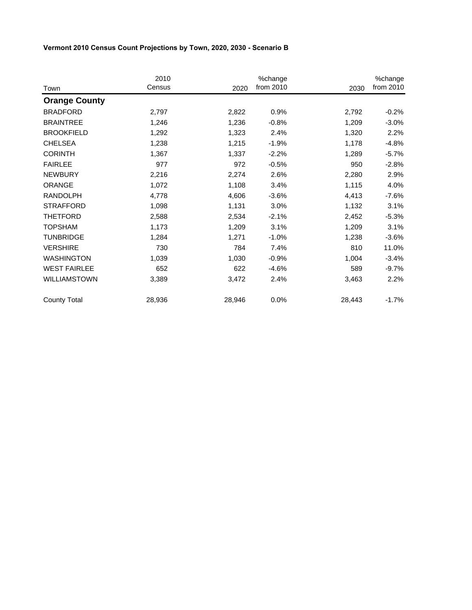|                      | 2010<br>Census | 2020   | %change<br>from 2010 | 2030   | %change<br>from 2010 |
|----------------------|----------------|--------|----------------------|--------|----------------------|
| Town                 |                |        |                      |        |                      |
| <b>Orange County</b> |                |        |                      |        |                      |
| <b>BRADFORD</b>      | 2,797          | 2,822  | 0.9%                 | 2,792  | $-0.2%$              |
| <b>BRAINTREE</b>     | 1,246          | 1,236  | $-0.8%$              | 1,209  | $-3.0%$              |
| <b>BROOKFIELD</b>    | 1,292          | 1,323  | 2.4%                 | 1,320  | 2.2%                 |
| <b>CHELSEA</b>       | 1,238          | 1,215  | $-1.9%$              | 1,178  | $-4.8%$              |
| <b>CORINTH</b>       | 1,367          | 1,337  | $-2.2%$              | 1,289  | $-5.7%$              |
| <b>FAIRLEE</b>       | 977            | 972    | $-0.5%$              | 950    | $-2.8%$              |
| <b>NEWBURY</b>       | 2,216          | 2,274  | 2.6%                 | 2,280  | 2.9%                 |
| ORANGE               | 1,072          | 1,108  | 3.4%                 | 1,115  | 4.0%                 |
| <b>RANDOLPH</b>      | 4,778          | 4,606  | $-3.6%$              | 4,413  | $-7.6%$              |
| <b>STRAFFORD</b>     | 1,098          | 1,131  | 3.0%                 | 1,132  | 3.1%                 |
| <b>THETFORD</b>      | 2,588          | 2,534  | $-2.1%$              | 2,452  | $-5.3%$              |
| <b>TOPSHAM</b>       | 1,173          | 1,209  | 3.1%                 | 1,209  | 3.1%                 |
| <b>TUNBRIDGE</b>     | 1,284          | 1,271  | $-1.0%$              | 1,238  | $-3.6%$              |
| <b>VERSHIRE</b>      | 730            | 784    | 7.4%                 | 810    | 11.0%                |
| <b>WASHINGTON</b>    | 1,039          | 1,030  | $-0.9%$              | 1,004  | $-3.4%$              |
| <b>WEST FAIRLEE</b>  | 652            | 622    | $-4.6%$              | 589    | $-9.7%$              |
| <b>WILLIAMSTOWN</b>  | 3,389          | 3,472  | 2.4%                 | 3,463  | 2.2%                 |
| <b>County Total</b>  | 28,936         | 28,946 | 0.0%                 | 28,443 | $-1.7%$              |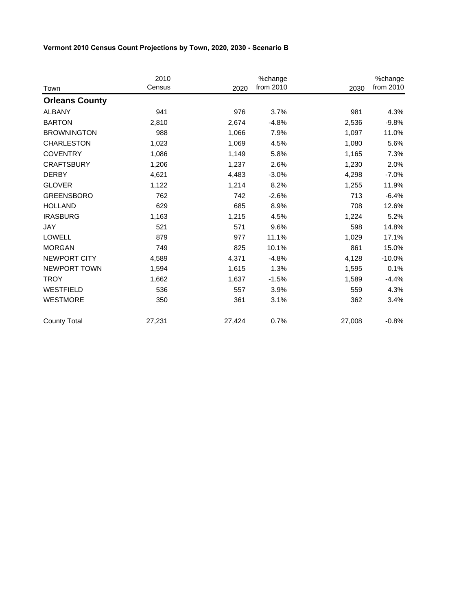|                       | 2010   |        | %change   |        | %change   |
|-----------------------|--------|--------|-----------|--------|-----------|
| Town                  | Census | 2020   | from 2010 | 2030   | from 2010 |
| <b>Orleans County</b> |        |        |           |        |           |
| <b>ALBANY</b>         | 941    | 976    | 3.7%      | 981    | 4.3%      |
| <b>BARTON</b>         | 2,810  | 2,674  | $-4.8%$   | 2,536  | $-9.8%$   |
| <b>BROWNINGTON</b>    | 988    | 1,066  | 7.9%      | 1,097  | 11.0%     |
| <b>CHARLESTON</b>     | 1,023  | 1,069  | 4.5%      | 1,080  | 5.6%      |
| <b>COVENTRY</b>       | 1,086  | 1,149  | 5.8%      | 1,165  | 7.3%      |
| <b>CRAFTSBURY</b>     | 1,206  | 1,237  | 2.6%      | 1,230  | 2.0%      |
| <b>DERBY</b>          | 4,621  | 4,483  | $-3.0%$   | 4,298  | $-7.0%$   |
| <b>GLOVER</b>         | 1,122  | 1,214  | 8.2%      | 1,255  | 11.9%     |
| <b>GREENSBORO</b>     | 762    | 742    | $-2.6%$   | 713    | $-6.4%$   |
| <b>HOLLAND</b>        | 629    | 685    | 8.9%      | 708    | 12.6%     |
| <b>IRASBURG</b>       | 1,163  | 1,215  | 4.5%      | 1,224  | 5.2%      |
| JAY                   | 521    | 571    | 9.6%      | 598    | 14.8%     |
| <b>LOWELL</b>         | 879    | 977    | 11.1%     | 1,029  | 17.1%     |
| <b>MORGAN</b>         | 749    | 825    | 10.1%     | 861    | 15.0%     |
| <b>NEWPORT CITY</b>   | 4,589  | 4,371  | $-4.8%$   | 4,128  | $-10.0%$  |
| NEWPORT TOWN          | 1,594  | 1,615  | 1.3%      | 1,595  | 0.1%      |
| <b>TROY</b>           | 1,662  | 1,637  | $-1.5%$   | 1,589  | $-4.4%$   |
| <b>WESTFIELD</b>      | 536    | 557    | 3.9%      | 559    | 4.3%      |
| <b>WESTMORE</b>       | 350    | 361    | 3.1%      | 362    | 3.4%      |
| <b>County Total</b>   | 27,231 | 27,424 | 0.7%      | 27,008 | $-0.8%$   |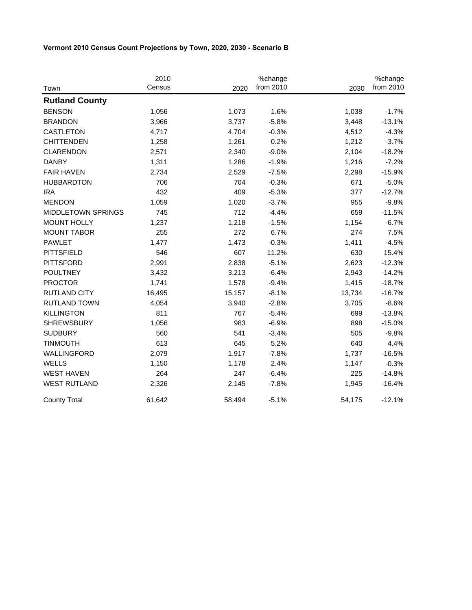|                           | 2010   |        | %change   |        | %change   |
|---------------------------|--------|--------|-----------|--------|-----------|
| Town                      | Census | 2020   | from 2010 | 2030   | from 2010 |
| <b>Rutland County</b>     |        |        |           |        |           |
| <b>BENSON</b>             | 1,056  | 1,073  | 1.6%      | 1,038  | $-1.7%$   |
| <b>BRANDON</b>            | 3,966  | 3,737  | $-5.8%$   | 3,448  | $-13.1%$  |
| CASTLETON                 | 4,717  | 4,704  | $-0.3%$   | 4,512  | $-4.3%$   |
| <b>CHITTENDEN</b>         | 1,258  | 1,261  | 0.2%      | 1,212  | $-3.7%$   |
| <b>CLARENDON</b>          | 2,571  | 2,340  | $-9.0%$   | 2,104  | $-18.2%$  |
| <b>DANBY</b>              | 1,311  | 1,286  | $-1.9%$   | 1,216  | $-7.2%$   |
| <b>FAIR HAVEN</b>         | 2,734  | 2,529  | $-7.5%$   | 2,298  | $-15.9%$  |
| <b>HUBBARDTON</b>         | 706    | 704    | $-0.3%$   | 671    | $-5.0%$   |
| <b>IRA</b>                | 432    | 409    | $-5.3%$   | 377    | $-12.7%$  |
| <b>MENDON</b>             | 1,059  | 1,020  | $-3.7%$   | 955    | $-9.8%$   |
| <b>MIDDLETOWN SPRINGS</b> | 745    | 712    | $-4.4%$   | 659    | $-11.5%$  |
| <b>MOUNT HOLLY</b>        | 1,237  | 1,218  | $-1.5%$   | 1,154  | $-6.7%$   |
| <b>MOUNT TABOR</b>        | 255    | 272    | 6.7%      | 274    | 7.5%      |
| <b>PAWLET</b>             | 1,477  | 1,473  | $-0.3%$   | 1,411  | $-4.5%$   |
| <b>PITTSFIELD</b>         | 546    | 607    | 11.2%     | 630    | 15.4%     |
| <b>PITTSFORD</b>          | 2,991  | 2,838  | $-5.1%$   | 2,623  | $-12.3%$  |
| <b>POULTNEY</b>           | 3,432  | 3,213  | $-6.4%$   | 2,943  | $-14.2%$  |
| <b>PROCTOR</b>            | 1,741  | 1,578  | $-9.4%$   | 1,415  | $-18.7%$  |
| <b>RUTLAND CITY</b>       | 16,495 | 15,157 | $-8.1%$   | 13,734 | $-16.7%$  |
| <b>RUTLAND TOWN</b>       | 4,054  | 3,940  | $-2.8%$   | 3,705  | $-8.6%$   |
| <b>KILLINGTON</b>         | 811    | 767    | $-5.4%$   | 699    | $-13.8%$  |
| <b>SHREWSBURY</b>         | 1,056  | 983    | $-6.9%$   | 898    | $-15.0%$  |
| <b>SUDBURY</b>            | 560    | 541    | $-3.4%$   | 505    | $-9.8%$   |
| <b>TINMOUTH</b>           | 613    | 645    | 5.2%      | 640    | 4.4%      |
| WALLINGFORD               | 2,079  | 1,917  | $-7.8%$   | 1,737  | $-16.5%$  |
| <b>WELLS</b>              | 1,150  | 1,178  | 2.4%      | 1,147  | $-0.3%$   |
| <b>WEST HAVEN</b>         | 264    | 247    | $-6.4%$   | 225    | $-14.8%$  |
| <b>WEST RUTLAND</b>       | 2,326  | 2,145  | $-7.8%$   | 1,945  | $-16.4%$  |
| <b>County Total</b>       | 61,642 | 58,494 | $-5.1%$   | 54,175 | $-12.1%$  |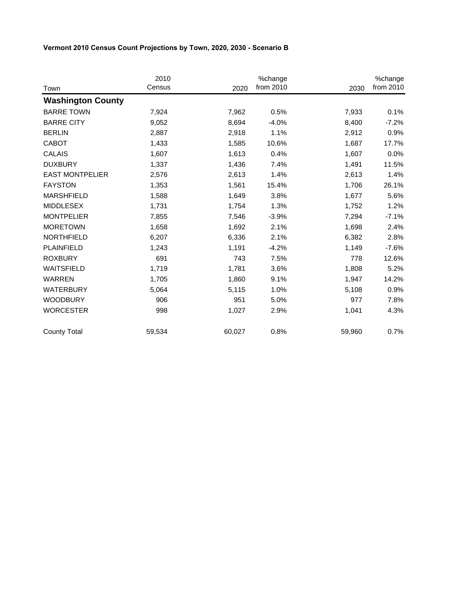|                          | 2010   |        | %change   |        | %change   |
|--------------------------|--------|--------|-----------|--------|-----------|
| Town                     | Census | 2020   | from 2010 | 2030   | from 2010 |
| <b>Washington County</b> |        |        |           |        |           |
| <b>BARRE TOWN</b>        | 7,924  | 7,962  | 0.5%      | 7,933  | 0.1%      |
| <b>BARRE CITY</b>        | 9,052  | 8,694  | $-4.0%$   | 8,400  | $-7.2%$   |
| <b>BERLIN</b>            | 2,887  | 2,918  | 1.1%      | 2,912  | 0.9%      |
| <b>CABOT</b>             | 1,433  | 1,585  | 10.6%     | 1,687  | 17.7%     |
| <b>CALAIS</b>            | 1,607  | 1,613  | 0.4%      | 1,607  | 0.0%      |
| <b>DUXBURY</b>           | 1,337  | 1,436  | 7.4%      | 1,491  | 11.5%     |
| <b>EAST MONTPELIER</b>   | 2,576  | 2,613  | 1.4%      | 2,613  | 1.4%      |
| <b>FAYSTON</b>           | 1,353  | 1,561  | 15.4%     | 1,706  | 26.1%     |
| <b>MARSHFIELD</b>        | 1,588  | 1,649  | 3.8%      | 1,677  | 5.6%      |
| <b>MIDDLESEX</b>         | 1,731  | 1,754  | 1.3%      | 1,752  | 1.2%      |
| <b>MONTPELIER</b>        | 7,855  | 7,546  | $-3.9%$   | 7,294  | $-7.1%$   |
| <b>MORETOWN</b>          | 1,658  | 1,692  | 2.1%      | 1,698  | 2.4%      |
| <b>NORTHFIELD</b>        | 6,207  | 6,336  | 2.1%      | 6,382  | 2.8%      |
| <b>PLAINFIELD</b>        | 1,243  | 1,191  | $-4.2%$   | 1,149  | $-7.6%$   |
| <b>ROXBURY</b>           | 691    | 743    | 7.5%      | 778    | 12.6%     |
| <b>WAITSFIELD</b>        | 1,719  | 1,781  | 3.6%      | 1,808  | 5.2%      |
| <b>WARREN</b>            | 1,705  | 1,860  | 9.1%      | 1,947  | 14.2%     |
| <b>WATERBURY</b>         | 5,064  | 5,115  | 1.0%      | 5,108  | 0.9%      |
| <b>WOODBURY</b>          | 906    | 951    | 5.0%      | 977    | 7.8%      |
| <b>WORCESTER</b>         | 998    | 1,027  | 2.9%      | 1,041  | 4.3%      |
| <b>County Total</b>      | 59,534 | 60,027 | 0.8%      | 59,960 | 0.7%      |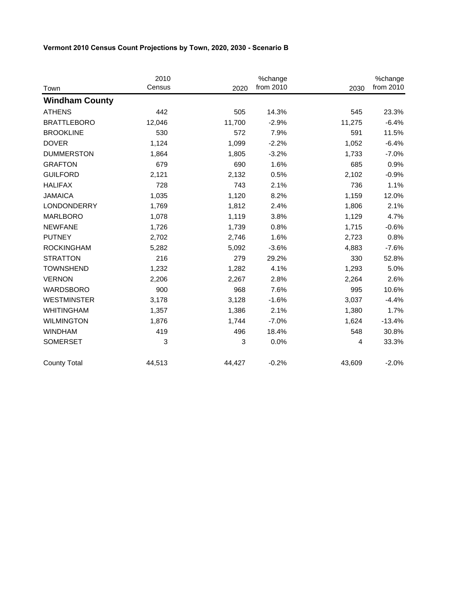|                       | 2010   |        | %change   |        | %change   |
|-----------------------|--------|--------|-----------|--------|-----------|
| Town                  | Census | 2020   | from 2010 | 2030   | from 2010 |
| <b>Windham County</b> |        |        |           |        |           |
| <b>ATHENS</b>         | 442    | 505    | 14.3%     | 545    | 23.3%     |
| <b>BRATTLEBORO</b>    | 12,046 | 11,700 | $-2.9%$   | 11,275 | $-6.4%$   |
| <b>BROOKLINE</b>      | 530    | 572    | 7.9%      | 591    | 11.5%     |
| <b>DOVER</b>          | 1,124  | 1,099  | $-2.2%$   | 1,052  | $-6.4%$   |
| <b>DUMMERSTON</b>     | 1,864  | 1,805  | $-3.2%$   | 1,733  | $-7.0%$   |
| <b>GRAFTON</b>        | 679    | 690    | 1.6%      | 685    | 0.9%      |
| <b>GUILFORD</b>       | 2,121  | 2,132  | 0.5%      | 2,102  | $-0.9%$   |
| <b>HALIFAX</b>        | 728    | 743    | 2.1%      | 736    | 1.1%      |
| <b>JAMAICA</b>        | 1,035  | 1,120  | 8.2%      | 1,159  | 12.0%     |
| <b>LONDONDERRY</b>    | 1,769  | 1,812  | 2.4%      | 1,806  | 2.1%      |
| <b>MARLBORO</b>       | 1,078  | 1,119  | 3.8%      | 1,129  | 4.7%      |
| <b>NEWFANE</b>        | 1,726  | 1,739  | 0.8%      | 1,715  | $-0.6%$   |
| <b>PUTNEY</b>         | 2,702  | 2,746  | 1.6%      | 2,723  | 0.8%      |
| <b>ROCKINGHAM</b>     | 5,282  | 5,092  | $-3.6%$   | 4,883  | $-7.6%$   |
| <b>STRATTON</b>       | 216    | 279    | 29.2%     | 330    | 52.8%     |
| <b>TOWNSHEND</b>      | 1,232  | 1,282  | 4.1%      | 1,293  | 5.0%      |
| <b>VERNON</b>         | 2,206  | 2,267  | 2.8%      | 2,264  | 2.6%      |
| <b>WARDSBORO</b>      | 900    | 968    | 7.6%      | 995    | 10.6%     |
| <b>WESTMINSTER</b>    | 3,178  | 3,128  | $-1.6%$   | 3,037  | $-4.4%$   |
| <b>WHITINGHAM</b>     | 1,357  | 1,386  | 2.1%      | 1,380  | 1.7%      |
| <b>WILMINGTON</b>     | 1,876  | 1,744  | $-7.0%$   | 1,624  | $-13.4%$  |
| <b>WINDHAM</b>        | 419    | 496    | 18.4%     | 548    | 30.8%     |
| <b>SOMERSET</b>       | 3      | 3      | 0.0%      | 4      | 33.3%     |
| <b>County Total</b>   | 44,513 | 44,427 | $-0.2%$   | 43,609 | $-2.0%$   |